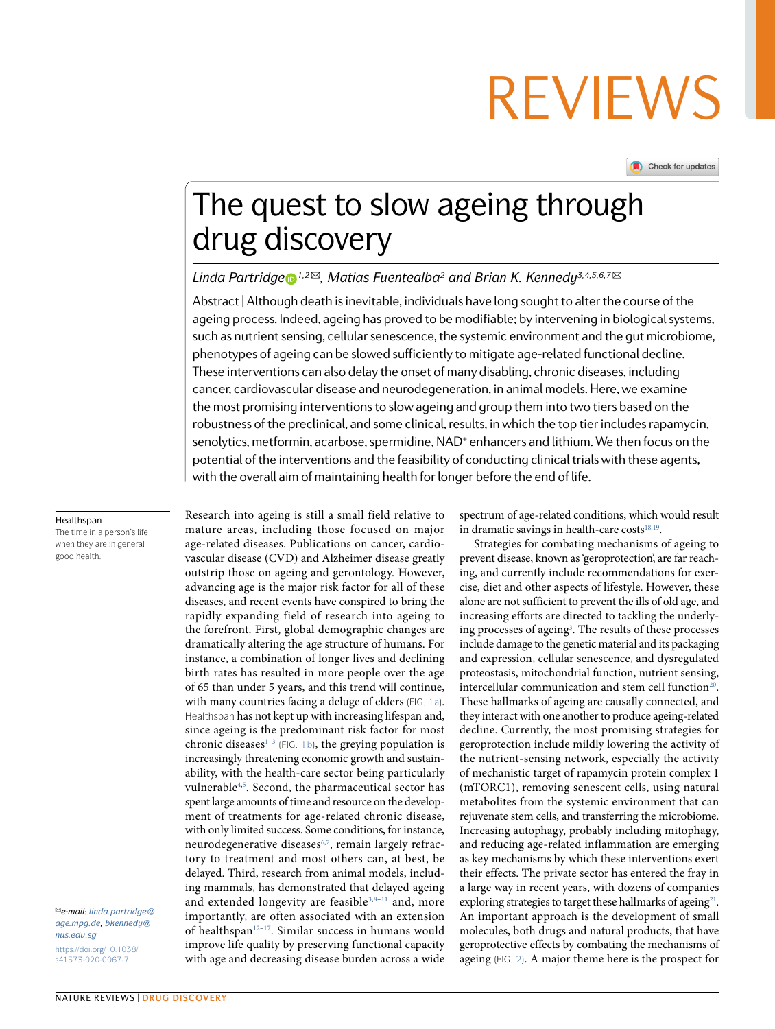Check for updates

## The quest to slow ageing through drug discovery

#### *Linda Partridge1,2* ✉*, Matias Fuentealba<sup>2</sup> and Brian K. Kennedy3,4,5,6,7* ✉

Abstract | Although death is inevitable, individuals have long sought to alter the course of the ageing process. Indeed, ageing has proved to be modifiable; by intervening in biological systems, such as nutrient sensing, cellular senescence, the systemic environment and the gut microbiome, phenotypes of ageing can be slowed sufficiently to mitigate age- related functional decline. These interventions can also delay the onset of many disabling, chronic diseases, including cancer, cardiovascular disease and neurodegeneration, in animal models. Here, we examine the most promising interventions to slow ageing and group them into two tiers based on the robustness of the preclinical, and some clinical, results, in which the top tier includes rapamycin, senolytics, metformin, acarbose, spermidine, NAD<sup>+</sup> enhancers and lithium. We then focus on the potential of the interventions and the feasibility of conducting clinical trials with these agents, with the overall aim of maintaining health for longer before the end of life.

#### Healthspan

The time in a person's life when they are in general good health.

✉*e- mail: [linda.partridge@](mailto:linda.partridge@age.mpg.de) [age.mpg.de](mailto:linda.partridge@age.mpg.de); [bkennedy@](mailto:bkennedy@
nus.edu.sg)  [nus.edu.sg](mailto:bkennedy@
nus.edu.sg)* [https://doi.org/10.1038/](https://doi.org/10.1038/s41573-020-0067-7)  [s41573-020-0067-7](https://doi.org/10.1038/s41573-020-0067-7)

Research into ageing is still a small field relative to mature areas, including those focused on major age- related diseases. Publications on cancer, cardiovascular disease (CVD) and Alzheimer disease greatly outstrip those on ageing and gerontology. However, advancing age is the major risk factor for all of these diseases, and recent events have conspired to bring the rapidly expanding field of research into ageing to the forefront. First, global demographic changes are dramatically altering the age structure of humans. For instance, a combination of longer lives and declining birth rates has resulted in more people over the age of 65 than under 5 years, and this trend will continue, with many countries facing a deluge of elders (FIG. [1a\)](#page-2-0). Healthspan has not kept up with increasing lifespan and, since ageing is the predominant risk factor for most chronic diseases $1-3$  $1-3$  (FIG. [1b](#page-2-0)), the greying population is increasingly threatening economic growth and sustainability, with the health-care sector being particularly vulnerable[4](#page-14-2),[5](#page-14-3) . Second, the pharmaceutical sector has spent large amounts of time and resource on the development of treatments for age- related chronic disease, with only limited success. Some conditions, for instance, neurodegenerative diseases<sup>[6](#page-14-4),[7](#page-14-5)</sup>, remain largely refractory to treatment and most others can, at best, be delayed. Third, research from animal models, including mammals, has demonstrated that delayed ageing and extended longevity are feasible<sup>[3](#page-14-1)[,8](#page-14-6)-[11](#page-14-7)</sup> and, more importantly, are often associated with an extension of healthspan<sup>12-[17](#page-15-0)</sup>. Similar success in humans would improve life quality by preserving functional capacity with age and decreasing disease burden across a wide

spectrum of age- related conditions, which would result in dramatic savings in health-care costs<sup>[18,](#page-15-1)[19](#page-15-2)</sup>.

Strategies for combating mechanisms of ageing to prevent disease, known as 'geroprotection', are far reaching, and currently include recommendations for exercise, diet and other aspects of lifestyle. However, these alone are not sufficient to prevent the ills of old age, and increasing efforts are directed to tackling the underly-ing processes of ageing<sup>[3](#page-14-1)</sup>. The results of these processes include damage to the genetic material and its packaging and expression, cellular senescence, and dysregulated proteostasis, mitochondrial function, nutrient sensing, intercellular communication and stem cell function<sup>[20](#page-15-3)</sup>. These hallmarks of ageing are causally connected, and they interact with one another to produce ageing- related decline. Currently, the most promising strategies for geroprotection include mildly lowering the activity of the nutrient- sensing network, especially the activity of mechanistic target of rapamycin protein complex 1 (mTORC1), removing senescent cells, using natural metabolites from the systemic environment that can rejuvenate stem cells, and transferring the microbiome. Increasing autophagy, probably including mitophagy, and reducing age- related inflammation are emerging as key mechanisms by which these interventions exert their effects. The private sector has entered the fray in a large way in recent years, with dozens of companies exploring strategies to target these hallmarks of ageing $^{21}$  $^{21}$  $^{21}$ . An important approach is the development of small molecules, both drugs and natural products, that have geroprotective effects by combating the mechanisms of ageing (FIG. [2](#page-3-0)). A major theme here is the prospect for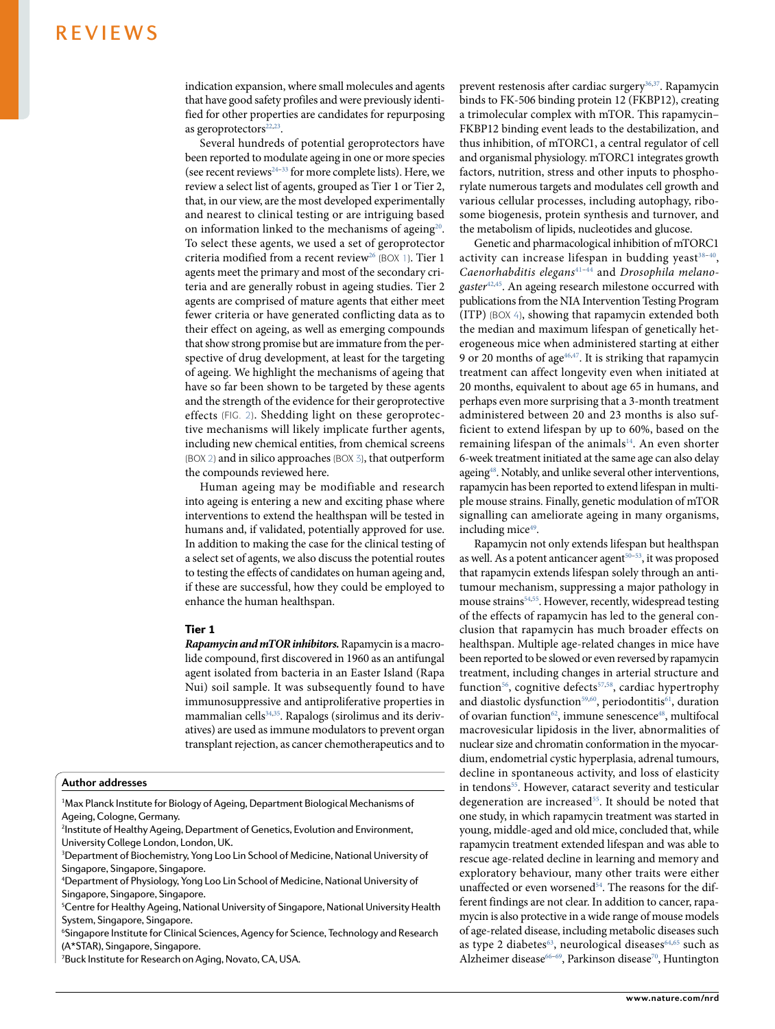indication expansion, where small molecules and agents that have good safety profiles and were previously identified for other properties are candidates for repurposing as geroprotectors<sup>[22](#page-15-5),[23](#page-15-6)</sup>.

Several hundreds of potential geroprotectors have been reported to modulate ageing in one or more species (see recent reviews $24-33$  $24-33$  for more complete lists). Here, we review a select list of agents, grouped as Tier 1 or Tier 2, that, in our view, are the most developed experimentally and nearest to clinical testing or are intriguing based on information linked to the mechanisms of ageing<sup>[20](#page-15-3)</sup>. To select these agents, we used a set of geroprotector criteria modified from a recent review<sup>[26](#page-15-9)</sup> (BOX [1](#page-4-0)). Tier 1 agents meet the primary and most of the secondary criteria and are generally robust in ageing studies. Tier 2 agents are comprised of mature agents that either meet fewer criteria or have generated conflicting data as to their effect on ageing, as well as emerging compounds that show strong promise but are immature from the perspective of drug development, at least for the targeting of ageing. We highlight the mechanisms of ageing that have so far been shown to be targeted by these agents and the strength of the evidence for their geroprotective effects (FIG. [2](#page-3-0)). Shedding light on these geroprotective mechanisms will likely implicate further agents, including new chemical entities, from chemical screens (Box [2](#page-5-0)) and in silico approaches (Box [3\)](#page-6-0), that outperform the compounds reviewed here.

Human ageing may be modifiable and research into ageing is entering a new and exciting phase where interventions to extend the healthspan will be tested in humans and, if validated, potentially approved for use. In addition to making the case for the clinical testing of a select set of agents, we also discuss the potential routes to testing the effects of candidates on human ageing and, if these are successful, how they could be employed to enhance the human healthspan.

#### Tier 1

**Rapamycin and mTOR inhibitors.** Rapamycin is a macrolide compound, first discovered in 1960 as an antifungal agent isolated from bacteria in an Easter Island (Rapa Nui) soil sample. It was subsequently found to have immunosuppressive and antiproliferative properties in mammalian cells<sup>[34](#page-15-10)[,35](#page-15-11)</sup>. Rapalogs (sirolimus and its derivatives) are used as immune modulators to prevent organ transplant rejection, as cancer chemotherapeutics and to

#### **Author addresses**

- <sup>1</sup>Max Planck Institute for Biology of Ageing, Department Biological Mechanisms of Ageing, Cologne, Germany.
- 2 Institute of Healthy Ageing, Department of Genetics, Evolution and Environment, University College London, London, UK.
- <sup>3</sup>Department of Biochemistry, Yong Loo Lin School of Medicine, National University of Singapore, Singapore, Singapore.
- <sup>4</sup>Department of Physiology, Yong Loo Lin School of Medicine, National University of Singapore, Singapore, Singapore.
- <sup>5</sup>Centre for Healthy Ageing, National University of Singapore, National University Health System, Singapore, Singapore.
- <sup>6</sup>Singapore Institute for Clinical Sciences, Agency for Science, Technology and Research (A\*STAR), Singapore, Singapore.
- <sup>7</sup>Buck Institute for Research on Aging, Novato, CA, USA.

prevent restenosis after cardiac surgery<sup>[36](#page-15-12)[,37](#page-15-13)</sup>. Rapamycin binds to FK-506 binding protein 12 (FKBP12), creating a trimolecular complex with mTOR. This rapamycin– FKBP12 binding event leads to the destabilization, and thus inhibition, of mTORC1, a central regulator of cell and organismal physiology. mTORC1 integrates growth factors, nutrition, stress and other inputs to phosphorylate numerous targets and modulates cell growth and various cellular processes, including autophagy, ribosome biogenesis, protein synthesis and turnover, and the metabolism of lipids, nucleotides and glucose.

Genetic and pharmacological inhibition of mTORC1 activity can increase lifespan in budding yeast<sup>[38](#page-15-14)-40</sup>, Caenorhabditis elegans $41-44$  $41-44$  and Drosophila melano-gaster<sup>[42,](#page-15-18)[45](#page-15-19)</sup>. An ageing research milestone occurred with publications from the NIA Intervention Testing Program (ITP) (Box [4](#page-7-0)), showing that rapamycin extended both the median and maximum lifespan of genetically heterogeneous mice when administered starting at either 9 or 20 months of age  $46,47$  $46,47$ . It is striking that rapamycin treatment can affect longevity even when initiated at 20 months, equivalent to about age 65 in humans, and perhaps even more surprising that a 3- month treatment administered between 20 and 23 months is also sufficient to extend lifespan by up to 60%, based on the remaining lifespan of the animals<sup>[14](#page-15-22)</sup>. An even shorter 6- week treatment initiated at the same age can also delay ageing[48](#page-15-23). Notably, and unlike several other interventions, rapamycin has been reported to extend lifespan in multiple mouse strains. Finally, genetic modulation of mTOR signalling can ameliorate ageing in many organisms, including mice<sup>[49](#page-15-24)</sup>.

Rapamycin not only extends lifespan but healthspan as well. As a potent anticancer agent<sup>50-[53](#page-15-26)</sup>, it was proposed that rapamycin extends lifespan solely through an antitumour mechanism, suppressing a major pathology in mouse strains<sup>[54](#page-15-27)[,55](#page-15-28)</sup>. However, recently, widespread testing of the effects of rapamycin has led to the general conclusion that rapamycin has much broader effects on healthspan. Multiple age- related changes in mice have been reported to be slowed or even reversed by rapamycin treatment, including changes in arterial structure and function<sup>[56](#page-15-29)</sup>, cognitive defects<sup>[57,](#page-15-30)[58](#page-15-31)</sup>, cardiac hypertrophy and diastolic dysfunction<sup>[59](#page-15-32)[,60](#page-15-33)</sup>, periodontitis<sup>[61](#page-15-34)</sup>, duration of ovarian function<sup>[62](#page-15-35)</sup>, immune senescence<sup>[48](#page-15-23)</sup>, multifocal macrovesicular lipidosis in the liver, abnormalities of nuclear size and chromatin conformation in the myocardium, endometrial cystic hyperplasia, adrenal tumours, decline in spontaneous activity, and loss of elasticity in tendons<sup>[55](#page-15-28)</sup>. However, cataract severity and testicular degeneration are increased<sup>[55](#page-15-28)</sup>. It should be noted that one study, in which rapamycin treatment was started in young, middle- aged and old mice, concluded that, while rapamycin treatment extended lifespan and was able to rescue age- related decline in learning and memory and exploratory behaviour, many other traits were either unaffected or even worsened<sup>[54](#page-15-27)</sup>. The reasons for the different findings are not clear. In addition to cancer, rapamycin is also protective in a wide range of mouse models of age- related disease, including metabolic diseases such as type 2 diabetes<sup>[63](#page-15-36)</sup>, neurological diseases<sup>[64](#page-15-37)[,65](#page-15-38)</sup> such as Alzheimer disease<sup>[66](#page-15-39)[–69](#page-15-40)</sup>, Parkinson disease<sup>[70](#page-15-41)</sup>, Huntington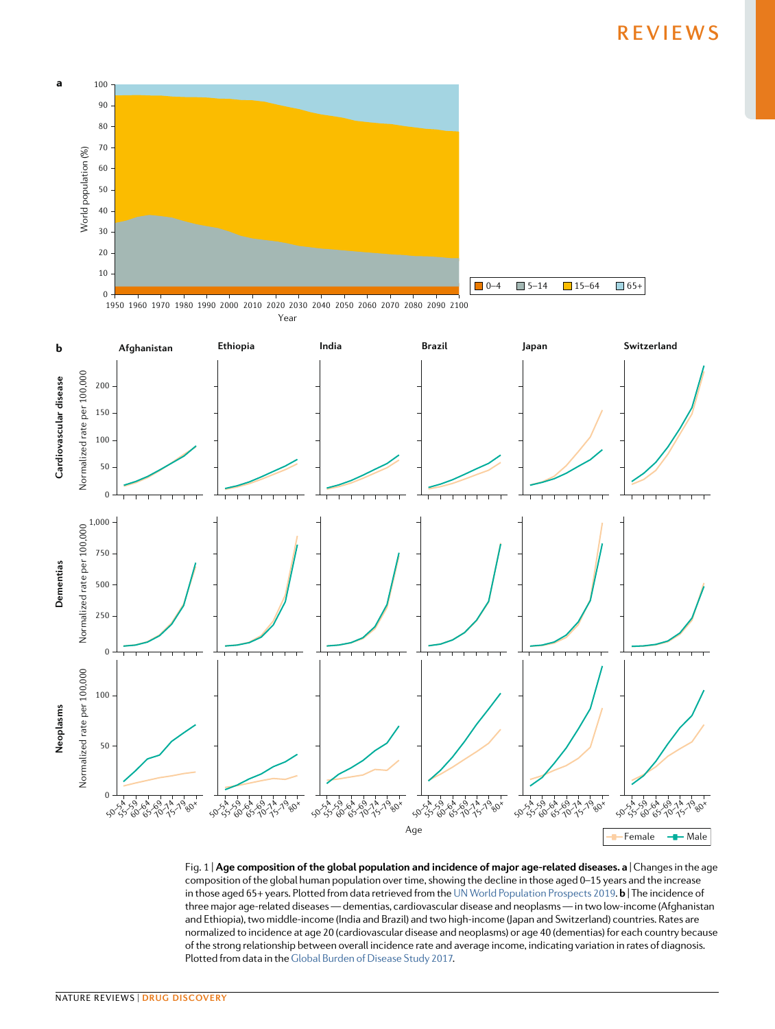

<span id="page-2-0"></span>Fig. 1 | **Age composition of the global population and incidence of major age-related diseases. a** | Changes in the age composition of the global human population over time, showing the decline in those aged 0–15 years and the increase in those aged 65+ years. Plotted from data retrieved from the [UN World Population Prospects 2019](https://population.un.org/wpp/DataQuery). **b** | The incidence of three major age- related diseases — dementias, cardiovascular disease and neoplasms — in two low- income (Afghanistan and Ethiopia), two middle-income (India and Brazil) and two high-income (Japan and Switzerland) countries. Rates are normalized to incidence at age 20 (cardiovascular disease and neoplasms) or age 40 (dementias) for each country because of the strong relationship between overall incidence rate and average income, indicating variation in rates of diagnosis. Plotted from data in the [Global Burden of Disease Study 2017.](http://ghdx.healthdata.org/gbd-2017)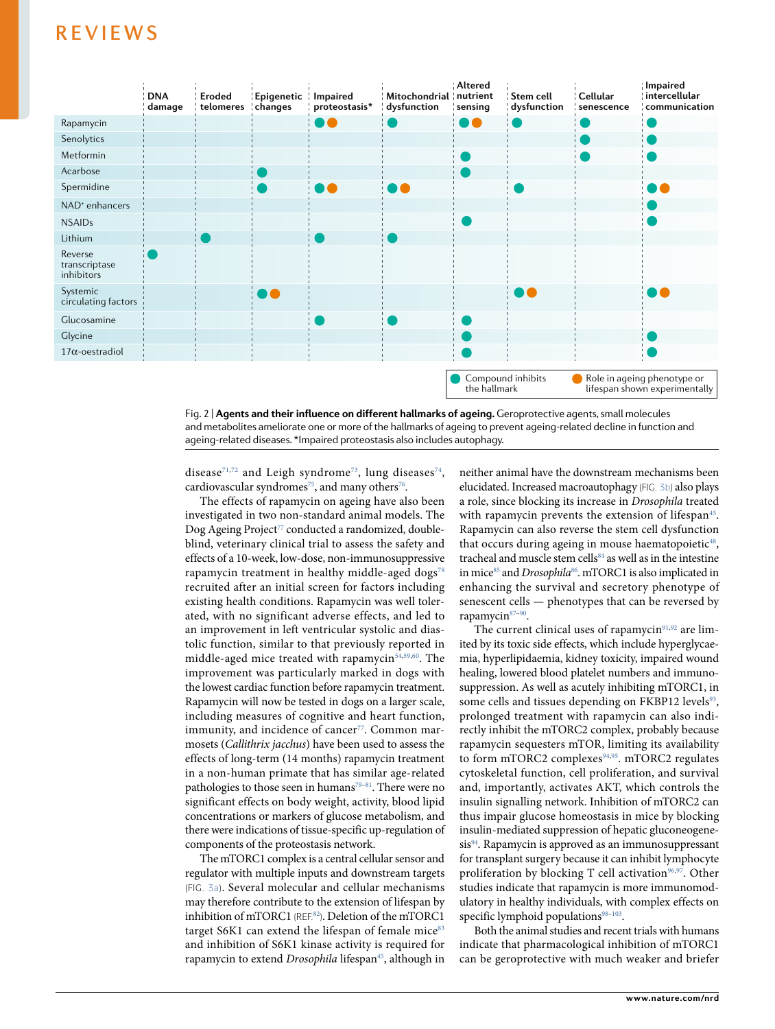

<span id="page-3-0"></span>

disease<sup>[71](#page-15-42),[72](#page-15-43)</sup> and Leigh syndrome<sup>[73](#page-15-44)</sup>, lung diseases<sup>[74](#page-15-45)</sup>, cardiovascular syndromes<sup>[75](#page-15-46)</sup>, and many others<sup>[76](#page-15-47)</sup>.

The effects of rapamycin on ageing have also been investigated in two non- standard animal models. The Dog Ageing Project<sup>[77](#page-15-48)</sup> conducted a randomized, doubleblind, veterinary clinical trial to assess the safety and effects of a 10- week, low- dose, non- immunosuppressive rapamycin treatment in healthy middle-aged dogs $\frac{78}{10}$  $\frac{78}{10}$  $\frac{78}{10}$ recruited after an initial screen for factors including existing health conditions. Rapamycin was well tolerated, with no significant adverse effects, and led to an improvement in left ventricular systolic and diastolic function, similar to that previously reported in middle-aged mice treated with rapamycin<sup>[54](#page-15-27)[,59,](#page-15-32)[60](#page-15-33)</sup>. The improvement was particularly marked in dogs with the lowest cardiac function before rapamycin treatment. Rapamycin will now be tested in dogs on a larger scale, including measures of cognitive and heart function, immunity, and incidence of cancer $77$ . Common marmosets (Callithrix jacchus) have been used to assess the effects of long- term (14 months) rapamycin treatment in a non-human primate that has similar age-related pathologies to those seen in humans<sup>[79](#page-15-50)-[81](#page-15-51)</sup>. There were no significant effects on body weight, activity, blood lipid concentrations or markers of glucose metabolism, and there were indications of tissue- specific up- regulation of components of the proteostasis network.

The mTORC1 complex is a central cellular sensor and regulator with multiple inputs and downstream targets (Fig. [3a](#page-8-0)). Several molecular and cellular mechanisms may therefore contribute to the extension of lifespan by inhibition of mTORC1 (REF.<sup>[82](#page-15-52)</sup>). Deletion of the mTORC1 target S6K1 can extend the lifespan of female mice<sup>[83](#page-15-53)</sup> and inhibition of S6K1 kinase activity is required for rapamycin to extend Drosophila lifespan<sup>[45](#page-15-19)</sup>, although in

neither animal have the downstream mechanisms been elucidated. Increased macroautophagy (Fig. [3b](#page-8-0)) also plays a role, since blocking its increase in Drosophila treated with rapamycin prevents the extension of lifespan<sup>[45](#page-15-19)</sup>. Rapamycin can also reverse the stem cell dysfunction that occurs during ageing in mouse haematopoietic<sup>[48](#page-15-23)</sup>, tracheal and muscle stem cells<sup>[84](#page-15-54)</sup> as well as in the intestine in mice<sup>[85](#page-15-55)</sup> and *Drosophila*<sup>[86](#page-15-56)</sup>. mTORC1 is also implicated in enhancing the survival and secretory phenotype of senescent cells — phenotypes that can be reversed by rapamycin<sup>87-[90](#page-15-58)</sup>.

The current clinical uses of rapamycin<sup>[91](#page-15-59),[92](#page-15-60)</sup> are limited by its toxic side effects, which include hyperglycaemia, hyperlipidaemia, kidney toxicity, impaired wound healing, lowered blood platelet numbers and immunosuppression. As well as acutely inhibiting mTORC1, in some cells and tissues depending on FKBP12 levels<sup>[93](#page-15-61)</sup>, prolonged treatment with rapamycin can also indirectly inhibit the mTORC2 complex, probably because rapamycin sequesters mTOR, limiting its availability to form mTORC2 complexes<sup>[94,](#page-15-62)[95](#page-16-0)</sup>. mTORC2 regulates cytoskeletal function, cell proliferation, and survival and, importantly, activates AKT, which controls the insulin signalling network. Inhibition of mTORC2 can thus impair glucose homeostasis in mice by blocking insulin- mediated suppression of hepatic gluconeogene-sis<sup>[94](#page-15-62)</sup>. Rapamycin is approved as an immunosuppressant for transplant surgery because it can inhibit lymphocyte proliferation by blocking T cell activation $96,97$  $96,97$ . Other studies indicate that rapamycin is more immunomodulatory in healthy individuals, with complex effects on specific lymphoid populations<sup>[98](#page-16-3)-103</sup>.

Both the animal studies and recent trials with humans indicate that pharmacological inhibition of mTORC1 can be geroprotective with much weaker and briefer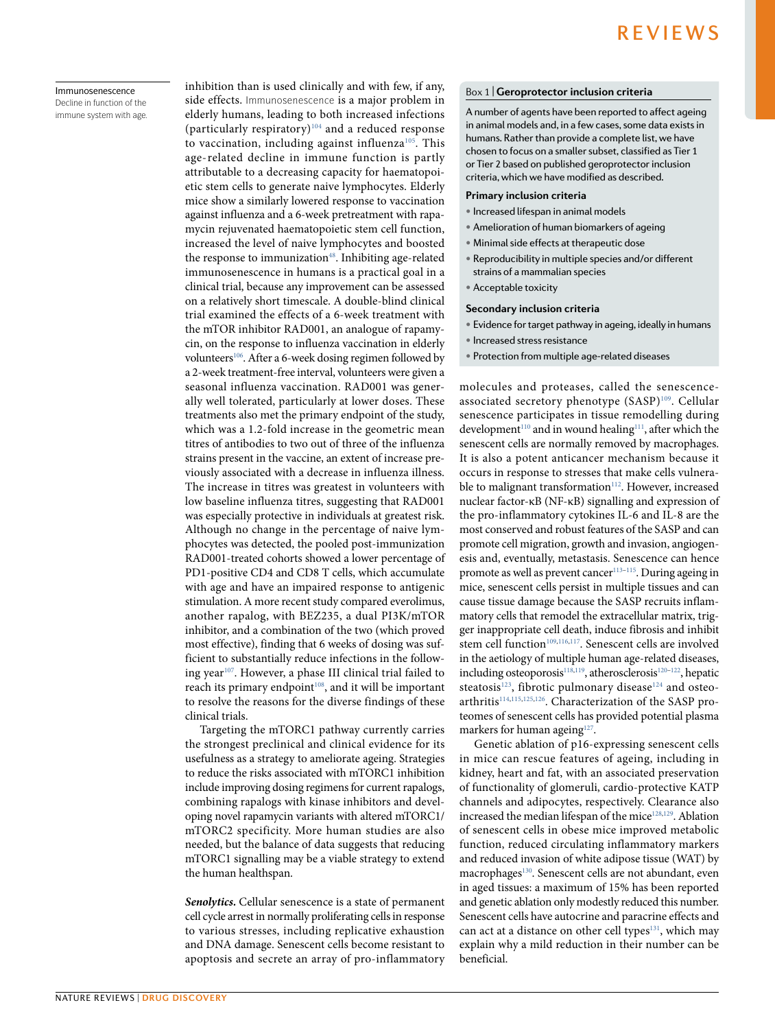#### Immunosenescence

Decline in function of the immune system with age. inhibition than is used clinically and with few, if any, side effects. immunosenescence is a major problem in elderly humans, leading to both increased infections (particularly respiratory)[104](#page-16-5) and a reduced response to vaccination, including against influenza $105$ . This age- related decline in immune function is partly attributable to a decreasing capacity for haematopoietic stem cells to generate naive lymphocytes. Elderly mice show a similarly lowered response to vaccination against influenza and a 6- week pretreatment with rapamycin rejuvenated haematopoietic stem cell function, increased the level of naive lymphocytes and boosted the response to immunization<sup>[48](#page-15-23)</sup>. Inhibiting age-related immunosenescence in humans is a practical goal in a clinical trial, because any improvement can be assessed on a relatively short timescale. A double- blind clinical trial examined the effects of a 6- week treatment with the mTOR inhibitor RAD001, an analogue of rapamycin, on the response to influenza vaccination in elderly volunteers<sup>[106](#page-16-7)</sup>. After a 6-week dosing regimen followed by a 2- week treatment- free interval, volunteers were given a seasonal influenza vaccination. RAD001 was generally well tolerated, particularly at lower doses. These treatments also met the primary endpoint of the study, which was a 1.2-fold increase in the geometric mean titres of antibodies to two out of three of the influenza strains present in the vaccine, an extent of increase previously associated with a decrease in influenza illness. The increase in titres was greatest in volunteers with low baseline influenza titres, suggesting that RAD001 was especially protective in individuals at greatest risk. Although no change in the percentage of naive lymphocytes was detected, the pooled post-immunization RAD001- treated cohorts showed a lower percentage of PD1-positive CD4 and CD8 T cells, which accumulate with age and have an impaired response to antigenic stimulation. A more recent study compared everolimus, another rapalog, with BEZ235, a dual PI3K/mTOR inhibitor, and a combination of the two (which proved most effective), finding that 6 weeks of dosing was sufficient to substantially reduce infections in the follow-ing year<sup>[107](#page-16-8)</sup>. However, a phase III clinical trial failed to reach its primary endpoint<sup>[108](#page-16-9)</sup>, and it will be important to resolve the reasons for the diverse findings of these clinical trials.

Targeting the mTORC1 pathway currently carries the strongest preclinical and clinical evidence for its usefulness as a strategy to ameliorate ageing. Strategies to reduce the risks associated with mTORC1 inhibition include improving dosing regimens for current rapalogs, combining rapalogs with kinase inhibitors and developing novel rapamycin variants with altered mTORC1/ mTORC2 specificity. More human studies are also needed, but the balance of data suggests that reducing mTORC1 signalling may be a viable strategy to extend the human healthspan.

**Senolytics.** Cellular senescence is a state of permanent cell cycle arrest in normally proliferating cells in response to various stresses, including replicative exhaustion and DNA damage. Senescent cells become resistant to apoptosis and secrete an array of pro- inflammatory

#### <span id="page-4-0"></span>Box 1 | **Geroprotector inclusion criteria**

A number of agents have been reported to affect ageing in animal models and, in a few cases, some data exists in humans. Rather than provide a complete list, we have chosen to focus on a smaller subset, classified as Tier 1 or Tier 2 based on published geroprotector inclusion criteria, which we have modified as described.

#### **Primary inclusion criteria**

- • Increased lifespan in animal models
- • Amelioration of human biomarkers of ageing
- • Minimal side effects at therapeutic dose
- • Reproducibility in multiple species and/or different strains of a mammalian species
- • Acceptable toxicity

#### **Secondary inclusion criteria**

- • Evidence for target pathway in ageing, ideally in humans
- • Increased stress resistance
- • Protection from multiple age- related diseases

molecules and proteases, called the senescence-associated secretory phenotype (SASP)<sup>[109](#page-16-10)</sup>. Cellular senescence participates in tissue remodelling during development<sup>[110](#page-16-11)</sup> and in wound healing<sup>[111](#page-16-12)</sup>, after which the senescent cells are normally removed by macrophages. It is also a potent anticancer mechanism because it occurs in response to stresses that make cells vulnera-ble to malignant transformation<sup>[112](#page-16-13)</sup>. However, increased nuclear factor- κB (NF- κB) signalling and expression of the pro- inflammatory cytokines IL-6 and IL-8 are the most conserved and robust features of the SASP and can promote cell migration, growth and invasion, angiogenesis and, eventually, metastasis. Senescence can hence promote as well as prevent cancer<sup>[113](#page-16-14)[–115](#page-16-15)</sup>. During ageing in mice, senescent cells persist in multiple tissues and can cause tissue damage because the SASP recruits inflammatory cells that remodel the extracellular matrix, trigger inappropriate cell death, induce fibrosis and inhibit stem cell function<sup>[109,](#page-16-10)[116,](#page-16-16)[117](#page-16-17)</sup>. Senescent cells are involved in the aetiology of multiple human age-related diseases, including osteoporosis<sup>[118,](#page-16-18)[119](#page-16-19)</sup>, atherosclerosis<sup>120-[122](#page-16-21)</sup>, hepatic steatosis<sup>[123](#page-16-22)</sup>, fibrotic pulmonary disease<sup>[124](#page-16-23)</sup> and osteo-arthritis<sup>[114,](#page-16-24)[115,](#page-16-15)[125](#page-16-25)[,126](#page-16-26)</sup>. Characterization of the SASP proteomes of senescent cells has provided potential plasma markers for human ageing<sup>[127](#page-16-27)</sup>.

Genetic ablation of p16-expressing senescent cells in mice can rescue features of ageing, including in kidney, heart and fat, with an associated preservation of functionality of glomeruli, cardio- protective KATP channels and adipocytes, respectively. Clearance also increased the median lifespan of the mice<sup>[128,](#page-16-28)[129](#page-16-29)</sup>. Ablation of senescent cells in obese mice improved metabolic function, reduced circulating inflammatory markers and reduced invasion of white adipose tissue (WAT) by macrophages<sup>[130](#page-16-30)</sup>. Senescent cells are not abundant, even in aged tissues: a maximum of 15% has been reported and genetic ablation only modestly reduced this number. Senescent cells have autocrine and paracrine effects and can act at a distance on other cell types<sup>[131](#page-16-31)</sup>, which may explain why a mild reduction in their number can be beneficial.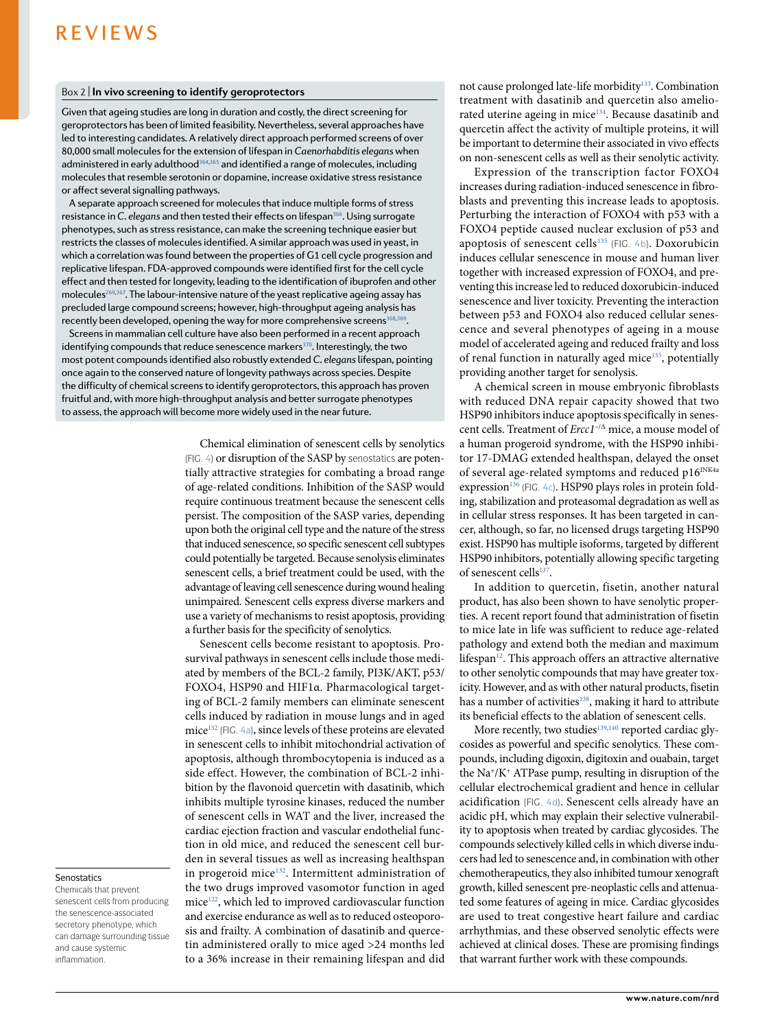#### <span id="page-5-0"></span>Box 2 | **In vivo screening to identify geroprotectors**

Given that ageing studies are long in duration and costly, the direct screening for geroprotectors has been of limited feasibility. Nevertheless, several approaches have led to interesting candidates. A relatively direct approach performed screens of over 80,000 small molecules for the extension of lifespan in *Caenorhabditis elegans* when administered in early adulthood<sup>[364](#page-19-0)[,365](#page-19-1)</sup> and identified a range of molecules, including molecules that resemble serotonin or dopamine, increase oxidative stress resistance or affect several signalling pathways.

A separate approach screened for molecules that induce multiple forms of stress resistance in *C. elegans* and then tested their effects on lifespan<sup>[366](#page-19-2)</sup>. Using surrogate phenotypes, such as stress resistance, can make the screening technique easier but restricts the classes of molecules identified. A similar approach was used in yeast, in which a correlation was found between the properties of G1 cell cycle progression and replicative lifespan. FDA- approved compounds were identified first for the cell cycle effect and then tested for longevity, leading to the identification of ibuprofen and other molecules<sup>[269](#page-18-0)[,367](#page-19-3)</sup>. The labour-intensive nature of the yeast replicative ageing assay has precluded large compound screens; however, high- throughput ageing analysis has recently been developed, opening the way for more comprehensive screens<sup>[368](#page-19-4)[,369](#page-19-5)</sup>.

Screens in mammalian cell culture have also been performed in a recent approach identifying compounds that reduce senescence markers<sup>[370](#page-19-6)</sup>. Interestingly, the two most potent compounds identified also robustly extended *C. elegans* lifespan, pointing once again to the conserved nature of longevity pathways across species. Despite the difficulty of chemical screens to identify geroprotectors, this approach has proven fruitful and, with more high- throughput analysis and better surrogate phenotypes to assess, the approach will become more widely used in the near future.

> Chemical elimination of senescent cells by senolytics (Fig. [4](#page-9-0)) or disruption of the SASP by senostatics are potentially attractive strategies for combating a broad range of age- related conditions. Inhibition of the SASP would require continuous treatment because the senescent cells persist. The composition of the SASP varies, depending upon both the original cell type and the nature of the stress that induced senescence, so specific senescent cell subtypes could potentially be targeted. Because senolysis eliminates senescent cells, a brief treatment could be used, with the advantage of leaving cell senescence during wound healing unimpaired. Senescent cells express diverse markers and use a variety of mechanisms to resist apoptosis, providing a further basis for the specificity of senolytics.

> Senescent cells become resistant to apoptosis. Prosurvival pathways in senescent cells include those mediated by members of the BCL-2 family, PI3K/AKT, p53/ FOXO4, HSP90 and HIF1α. Pharmacological targeting of BCL-2 family members can eliminate senescent cells induced by radiation in mouse lungs and in aged mice<sup>[132](#page-16-32)</sup> (FIG. [4a\)](#page-9-0), since levels of these proteins are elevated in senescent cells to inhibit mitochondrial activation of apoptosis, although thrombocytopenia is induced as a side effect. However, the combination of BCL-2 inhibition by the flavonoid quercetin with dasatinib, which inhibits multiple tyrosine kinases, reduced the number of senescent cells in WAT and the liver, increased the cardiac ejection fraction and vascular endothelial function in old mice, and reduced the senescent cell burden in several tissues as well as increasing healthspan in progeroid mice<sup>[132](#page-16-32)</sup>. Intermittent administration of the two drugs improved vasomotor function in aged mice<sup>[122](#page-16-21)</sup>, which led to improved cardiovascular function and exercise endurance as well as to reduced osteoporosis and frailty. A combination of dasatinib and quercetin administered orally to mice aged >24 months led to a 36% increase in their remaining lifespan and did

not cause prolonged late-life morbidity<sup>[133](#page-16-33)</sup>. Combination treatment with dasatinib and quercetin also amelio-rated uterine ageing in mice<sup>[134](#page-16-34)</sup>. Because dasatinib and quercetin affect the activity of multiple proteins, it will be important to determine their associated in vivo effects on non- senescent cells as well as their senolytic activity.

Expression of the transcription factor FOXO4 increases during radiation- induced senescence in fibroblasts and preventing this increase leads to apoptosis. Perturbing the interaction of FOXO4 with p53 with a FOXO4 peptide caused nuclear exclusion of p53 and apoptosis of senescent cells<sup>[135](#page-16-35)</sup> (FIG. [4b\)](#page-9-0). Doxorubicin induces cellular senescence in mouse and human liver together with increased expression of FOXO4, and preventing this increase led to reduced doxorubicin- induced senescence and liver toxicity. Preventing the interaction between p53 and FOXO4 also reduced cellular senescence and several phenotypes of ageing in a mouse model of accelerated ageing and reduced frailty and loss of renal function in naturally aged mice<sup>[135](#page-16-35)</sup>, potentially providing another target for senolysis.

A chemical screen in mouse embryonic fibroblasts with reduced DNA repair capacity showed that two HSP90 inhibitors induce apoptosis specifically in senescent cells. Treatment of Ercc1<sup>-/∆</sup> mice, a mouse model of a human progeroid syndrome, with the HSP90 inhibitor 17- DMAG extended healthspan, delayed the onset of several age-related symptoms and reduced p16<sup>INK4a</sup> expression<sup>[136](#page-16-36)</sup> (FIG. [4c](#page-9-0)). HSP90 plays roles in protein folding, stabilization and proteasomal degradation as well as in cellular stress responses. It has been targeted in cancer, although, so far, no licensed drugs targeting HSP90 exist. HSP90 has multiple isoforms, targeted by different HSP90 inhibitors, potentially allowing specific targeting of senescent cells<sup>[137](#page-16-37)</sup>.

In addition to quercetin, fisetin, another natural product, has also been shown to have senolytic properties. A recent report found that administration of fisetin to mice late in life was sufficient to reduce age- related pathology and extend both the median and maximum lifespan $12$ . This approach offers an attractive alternative to other senolytic compounds that may have greater toxicity. However, and as with other natural products, fisetin has a number of activities<sup>[138](#page-16-38)</sup>, making it hard to attribute its beneficial effects to the ablation of senescent cells.

More recently, two studies<sup>[139,](#page-16-39)[140](#page-16-40)</sup> reported cardiac glycosides as powerful and specific senolytics. These compounds, including digoxin, digitoxin and ouabain, target the Na<sup>+</sup> /K<sup>+</sup> ATPase pump, resulting in disruption of the cellular electrochemical gradient and hence in cellular acidification (FIG. [4d\)](#page-9-0). Senescent cells already have an acidic pH, which may explain their selective vulnerability to apoptosis when treated by cardiac glycosides. The compounds selectively killed cells in which diverse inducers had led to senescence and, in combination with other chemotherapeutics, they also inhibited tumour xenograft growth, killed senescent pre- neoplastic cells and attenuated some features of ageing in mice. Cardiac glycosides are used to treat congestive heart failure and cardiac arrhythmias, and these observed senolytic effects were achieved at clinical doses. These are promising findings that warrant further work with these compounds.

#### Senostatics

Chemicals that prevent senescent cells from producing the senescence-associated secretory phenotype, which can damage surrounding tissue and cause systemic inflammation.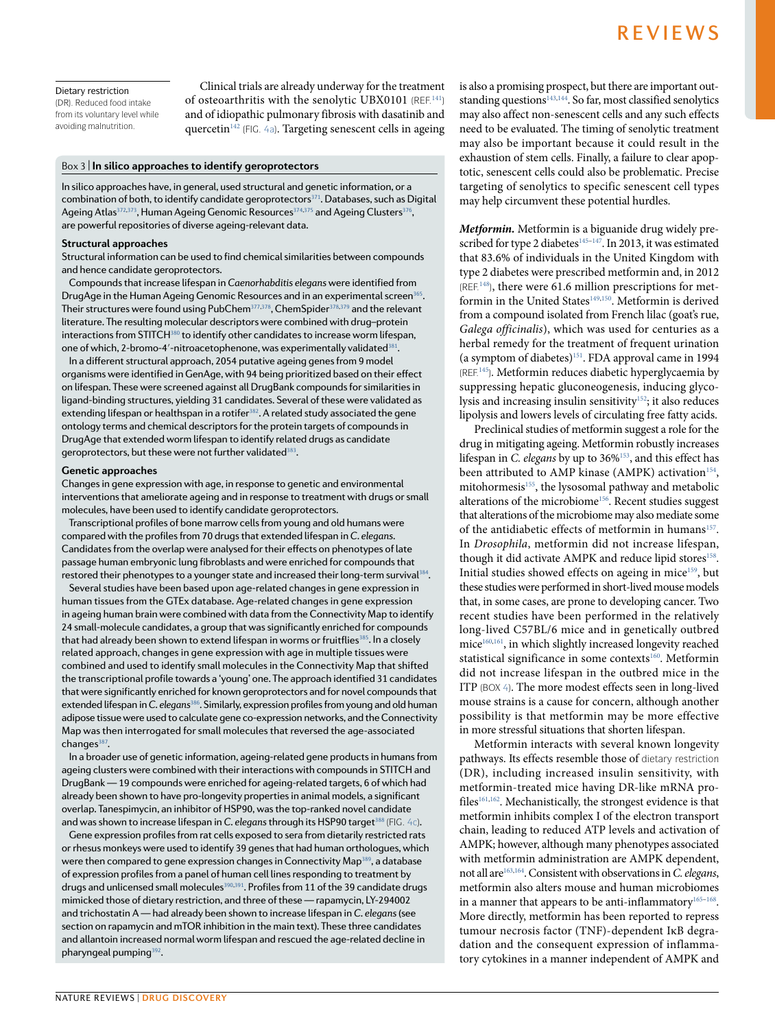#### Dietary restriction

(DR). Reduced food intake from its voluntary level while avoiding malnutrition.

Clinical trials are already underway for the treatment of osteoarthritis with the senolytic UBX0101 (REF.<sup>[141](#page-16-41)</sup>) and of idiopathic pulmonary fibrosis with dasatinib and quercetin<sup>[142](#page-16-42)</sup> (FIG. [4a](#page-9-0)). Targeting senescent cells in ageing

#### <span id="page-6-0"></span>Box 3 | **In silico approaches to identify geroprotectors**

In silico approaches have, in general, used structural and genetic information, or a combination of both, to identify candidate geroprotectors<sup>[371](#page-19-7)</sup>. Databases, such as Digital Ageing Atlas $^{372,373}$  $^{372,373}$  $^{372,373}$  $^{372,373}$ , Human Ageing Genomic Resources $^{374,375}$  $^{374,375}$  $^{374,375}$  $^{374,375}$  and Ageing Clusters $^{376}$  $^{376}$  $^{376}$ , are powerful repositories of diverse ageing- relevant data.

#### **Structural approaches**

Structural information can be used to find chemical similarities between compounds and hence candidate geroprotectors.

Compounds that increase lifespan in *Caenorhabditis elegans* were identified from DrugAge in the Human Ageing Genomic Resources and in an experimental screen<sup>[365](#page-19-1)</sup>. Their structures were found using PubChem<sup>[377](#page-19-13)[,378](#page-19-14)</sup>, ChemSpider<sup>[378,](#page-19-14)[379](#page-19-15)</sup> and the relevant literature. The resulting molecular descriptors were combined with drug–protein interactions from STITCH<sup>[380](#page-19-16)</sup> to identify other candidates to increase worm lifespan, one of which, 2-bromo-4'-nitroacetophenone, was experimentally validated<sup>[381](#page-19-17)</sup>.

In a different structural approach, 2054 putative ageing genes from 9 model organisms were identified in GenAge, with 94 being prioritized based on their effect on lifespan. These were screened against all DrugBank compounds for similarities in ligand- binding structures, yielding 31 candidates. Several of these were validated as extending lifespan or healthspan in a rotifer<sup>[382](#page-19-18)</sup>. A related study associated the gene ontology terms and chemical descriptors for the protein targets of compounds in DrugAge that extended worm lifespan to identify related drugs as candidate geroprotectors, but these were not further validated $^{\text{383}}$  $^{\text{383}}$  $^{\text{383}}$ .

#### **Genetic approaches**

Changes in gene expression with age, in response to genetic and environmental interventions that ameliorate ageing and in response to treatment with drugs or small molecules, have been used to identify candidate geroprotectors.

Transcriptional profiles of bone marrow cells from young and old humans were compared with the profiles from 70 drugs that extended lifespan in *C. elegans*. Candidates from the overlap were analysed for their effects on phenotypes of late passage human embryonic lung fibroblasts and were enriched for compounds that restored their phenotypes to a younger state and increased their long-term survival<sup>[384](#page-19-20)</sup>.

Several studies have been based upon age- related changes in gene expression in human tissues from the GTEx database. Age- related changes in gene expression in ageing human brain were combined with data from the Connectivity Map to identify 24 small-molecule candidates, a group that was significantly enriched for compounds that had already been shown to extend lifespan in worms or fruitflies<sup>[385](#page-19-21)</sup>. In a closely related approach, changes in gene expression with age in multiple tissues were combined and used to identify small molecules in the Connectivity Map that shifted the transcriptional profile towards a 'young' one. The approach identified 31 candidates that were significantly enriched for known geroprotectors and for novel compounds that extended lifespan in *C. elegans*[386](#page-19-22). Similarly, expression profiles from young and old human adipose tissue were used to calculate gene co-expression networks, and the Connectivity Map was then interrogated for small molecules that reversed the age-associated changes $^{387}$  $^{387}$  $^{387}$ .

In a broader use of genetic information, ageing- related gene products in humans from ageing clusters were combined with their interactions with compounds in STITCH and DrugBank — 19 compounds were enriched for ageing- related targets, 6 of which had already been shown to have pro- longevity properties in animal models, a significant overlap. Tanespimycin, an inhibitor of HSP90, was the top-ranked novel candidate and was shown to increase lifespan in *C. elegans* through its HSP90 target<sup>[388](#page-19-24)</sup> (FIG. [4c\)](#page-9-0).

Gene expression profiles from rat cells exposed to sera from dietarily restricted rats or rhesus monkeys were used to identify 39 genes that had human orthologues, which were then compared to gene expression changes in Connectivity Map<sup>[389](#page-19-25)</sup>, a database of expression profiles from a panel of human cell lines responding to treatment by drugs and unlicensed small molecules<sup>[390](#page-19-26)[,391](#page-19-27)</sup>. Profiles from 11 of the 39 candidate drugs mimicked those of dietary restriction, and three of these — rapamycin, LY-294002 and trichostatin A — had already been shown to increase lifespan in *C. elegans* (see section on rapamycin and mTOR inhibition in the main text). These three candidates and allantoin increased normal worm lifespan and rescued the age- related decline in pharyngeal pumping<sup>[392](#page-19-28)</sup>.

is also a promising prospect, but there are important out-standing questions<sup>[143,](#page-16-43)[144](#page-16-44)</sup>. So far, most classified senolytics may also affect non- senescent cells and any such effects need to be evaluated. The timing of senolytic treatment may also be important because it could result in the exhaustion of stem cells. Finally, a failure to clear apoptotic, senescent cells could also be problematic. Precise targeting of senolytics to specific senescent cell types may help circumvent these potential hurdles.

**Metformin.** Metformin is a biguanide drug widely prescribed for type 2 diabetes $145-147$  $145-147$ . In 2013, it was estimated that 83.6% of individuals in the United Kingdom with type 2 diabetes were prescribed metformin and, in 2012 (REF.<sup>[148](#page-16-47)</sup>), there were 61.6 million prescriptions for met-formin in the United States<sup>[149](#page-16-48)[,150](#page-16-49)</sup>. Metformin is derived from a compound isolated from French lilac (goat's rue, Galega officinalis), which was used for centuries as a herbal remedy for the treatment of frequent urination (a symptom of diabetes)<sup>[151](#page-16-50)</sup>. FDA approval came in 1994 (reF.[145](#page-16-45)). Metformin reduces diabetic hyperglycaemia by suppressing hepatic gluconeogenesis, inducing glycolysis and increasing insulin sensitivity $152$ ; it also reduces lipolysis and lowers levels of circulating free fatty acids.

Preclinical studies of metformin suggest a role for the drug in mitigating ageing. Metformin robustly increases lifespan in C. elegans by up to 36%<sup>[153](#page-16-52)</sup>, and this effect has been attributed to AMP kinase (AMPK) activation<sup>[154](#page-16-53)</sup>, mitohormesis<sup>[155](#page-16-54)</sup>, the lysosomal pathway and metabolic alterations of the microbiome[156](#page-16-55). Recent studies suggest that alterations of the microbiome may also mediate some of the antidiabetic effects of metformin in humans<sup>[157](#page-16-56)</sup>. In Drosophila, metformin did not increase lifespan, though it did activate AMPK and reduce lipid stores<sup>[158](#page-16-57)</sup>. Initial studies showed effects on ageing in mice $159$ , but these studies were performed in short-lived mouse models that, in some cases, are prone to developing cancer. Two recent studies have been performed in the relatively long-lived C57BL/6 mice and in genetically outbred mice<sup>[160](#page-16-59)[,161](#page-16-60)</sup>, in which slightly increased longevity reached statistical significance in some contexts<sup>[160](#page-16-59)</sup>. Metformin did not increase lifespan in the outbred mice in the ITP (BOX [4\)](#page-7-0). The more modest effects seen in long-lived mouse strains is a cause for concern, although another possibility is that metformin may be more effective in more stressful situations that shorten lifespan.

Metformin interacts with several known longevity pathways. Its effects resemble those of dietary restriction (DR), including increased insulin sensitivity, with metformin- treated mice having DR- like mRNA profiles $161,162$  $161,162$  $161,162$ . Mechanistically, the strongest evidence is that metformin inhibits complex I of the electron transport chain, leading to reduced ATP levels and activation of AMPK; however, although many phenotypes associated with metformin administration are AMPK dependent, not all are<sup>[163](#page-16-62)[,164](#page-16-63)</sup>. Consistent with observations in  $\overline{C}$ . elegans, metformin also alters mouse and human microbiomes in a manner that appears to be anti-inflammatory $165-168$  $165-168$ . More directly, metformin has been reported to repress tumour necrosis factor (TNF)- dependent IκB degradation and the consequent expression of inflammatory cytokines in a manner independent of AMPK and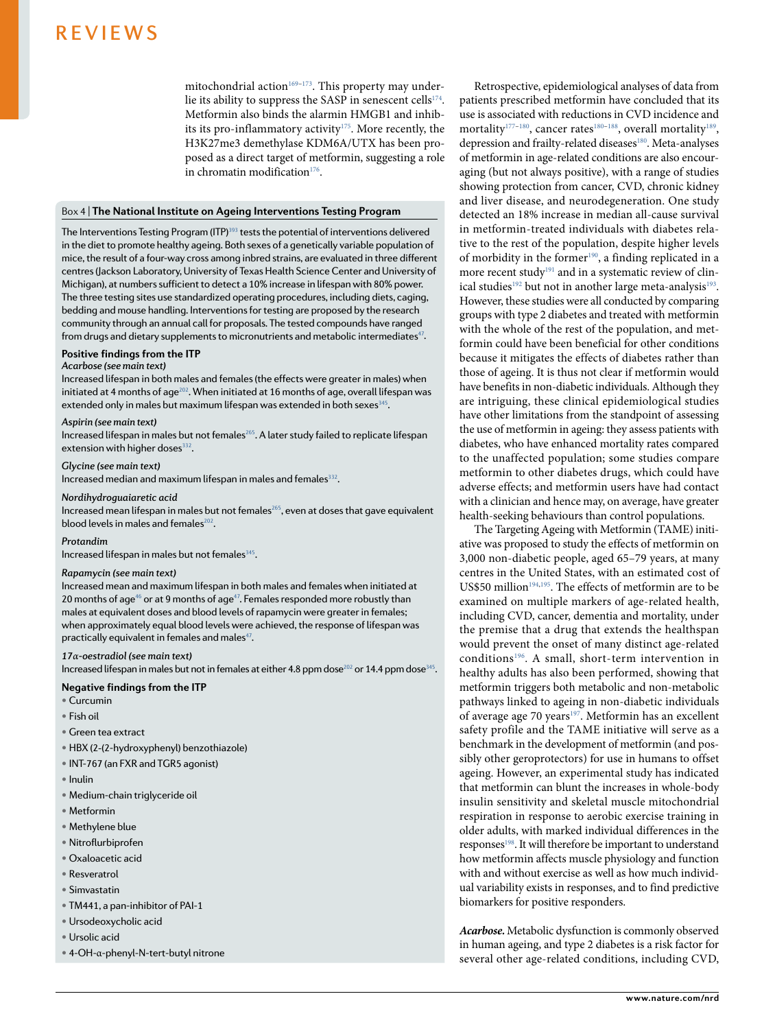mitochondrial action $169-173$  $169-173$ . This property may underlie its ability to suppress the SASP in senescent cells $^{174}$  $^{174}$  $^{174}$ . Metformin also binds the alarmin HMGB1 and inhibits its pro-inflammatory activity $175$ . More recently, the H3K27me3 demethylase KDM6A/UTX has been proposed as a direct target of metformin, suggesting a role in chromatin modification $176$ .

#### <span id="page-7-0"></span>Box 4 | **The National Institute on Ageing Interventions Testing Program**

The Interventions Testing Program (ITP) $393$  tests the potential of interventions delivered in the diet to promote healthy ageing. Both sexes of a genetically variable population of mice, the result of a four-way cross among inbred strains, are evaluated in three different centres (Jackson Laboratory, University of Texas Health Science Center and University of Michigan), at numbers sufficient to detect a 10% increase in lifespan with 80% power. The three testing sites use standardized operating procedures, including diets, caging, bedding and mouse handling. Interventions for testing are proposed by the research community through an annual call for proposals. The tested compounds have ranged from drugs and dietary supplements to micronutrients and metabolic intermediates $^{\text{\tiny 47}}$  $^{\text{\tiny 47}}$  $^{\text{\tiny 47}}$ .

#### **Positive findings from the ITP**

#### *Acarbose (see main text)*

Increased lifespan in both males and females (the effects were greater in males) when initiated at 4 months of age<sup>[202](#page-17-13)</sup>. When initiated at 16 months of age, overall lifespan was extended only in males but maximum lifespan was extended in both sexes<sup>[345](#page-19-30)</sup>.

#### *Aspirin (see main text)*

Increased lifespan in males but not females<sup>[265](#page-18-1)</sup>. A later study failed to replicate lifespan extension with higher doses $332$ .

#### *Glycine (see main text)*

Increased median and maximum lifespan in males and females<sup>[332](#page-18-2)</sup>.

#### *Nordihydroguaiaretic acid*

Increased mean lifespan in males but not females<sup>[265](#page-18-1)</sup>, even at doses that gave equivalent blood levels in males and females<sup>[202](#page-17-13)</sup>.

#### *Protandim*

Increased lifespan in males but not females<sup>[345](#page-19-30)</sup>.

#### *Rapamycin (see main text)*

Increased mean and maximum lifespan in both males and females when initiated at 20 months of age<sup>[46](#page-15-20)</sup> or at 9 months of age<sup>[47](#page-15-21)</sup>. Females responded more robustly than males at equivalent doses and blood levels of rapamycin were greater in females; when approximately equal blood levels were achieved, the response of lifespan was practically equivalent in females and males<sup>[47](#page-15-21)</sup>.

#### *17*α*- oestradiol (see main text)*

Increased lifespan in males but not in females at either 4.8 ppm dose<sup>[202](#page-17-13)</sup> or 14.4 ppm dose<sup>[345](#page-19-30)</sup>.

#### **Negative findings from the ITP**

- • Curcumin
- • Fish oil
- • Green tea extract
- HBX (2-(2-hydroxyphenyl) benzothiazole)
- • INT-767 (an FXR and TGR5 agonist)
- • Inulin
- • Medium- chain triglyceride oil
- • Metformin
- • Methylene blue
- • Nitroflurbiprofen
- • Oxaloacetic acid
- • Resveratrol
- • Simvastatin
- TM441, a pan-inhibitor of PAI-1
- • Ursodeoxycholic acid
- • Ursolic acid
- 4-OH-α-phenyl-N-tert-butyl nitrone

Retrospective, epidemiological analyses of data from patients prescribed metformin have concluded that its use is associated with reductions in CVD incidence and mortality<sup>[177](#page-17-0)-[180](#page-17-1)</sup>, cancer rates<sup>180-188</sup>, overall mortality<sup>[189](#page-17-3)</sup>, depression and frailty-related diseases<sup>[180](#page-17-1)</sup>. Meta-analyses of metformin in age- related conditions are also encouraging (but not always positive), with a range of studies showing protection from cancer, CVD, chronic kidney and liver disease, and neurodegeneration. One study detected an 18% increase in median all-cause survival in metformin- treated individuals with diabetes relative to the rest of the population, despite higher levels of morbidity in the former<sup>[190](#page-17-4)</sup>, a finding replicated in a more recent study<sup>[191](#page-17-5)</sup> and in a systematic review of clin-ical studies<sup>[192](#page-17-6)</sup> but not in another large meta-analysis<sup>[193](#page-17-7)</sup>. However, these studies were all conducted by comparing groups with type 2 diabetes and treated with metformin with the whole of the rest of the population, and metformin could have been beneficial for other conditions because it mitigates the effects of diabetes rather than those of ageing. It is thus not clear if metformin would have benefits in non-diabetic individuals. Although they are intriguing, these clinical epidemiological studies have other limitations from the standpoint of assessing the use of metformin in ageing: they assess patients with diabetes, who have enhanced mortality rates compared to the unaffected population; some studies compare metformin to other diabetes drugs, which could have adverse effects; and metformin users have had contact with a clinician and hence may, on average, have greater health- seeking behaviours than control populations.

The Targeting Ageing with Metformin (TAME) initiative was proposed to study the effects of metformin on 3,000 non- diabetic people, aged 65–79 years, at many centres in the United States, with an estimated cost of US\$50 million<sup>[194](#page-17-8)[,195](#page-17-9)</sup>. The effects of metformin are to be examined on multiple markers of age- related health, including CVD, cancer, dementia and mortality, under the premise that a drug that extends the healthspan would prevent the onset of many distinct age- related conditions<sup>[196](#page-17-10)</sup>. A small, short-term intervention in healthy adults has also been performed, showing that metformin triggers both metabolic and non- metabolic pathways linked to ageing in non- diabetic individuals of average age 70 years<sup>[197](#page-17-11)</sup>. Metformin has an excellent safety profile and the TAME initiative will serve as a benchmark in the development of metformin (and possibly other geroprotectors) for use in humans to offset ageing. However, an experimental study has indicated that metformin can blunt the increases in whole- body insulin sensitivity and skeletal muscle mitochondrial respiration in response to aerobic exercise training in older adults, with marked individual differences in the responses<sup>[198](#page-17-12)</sup>. It will therefore be important to understand how metformin affects muscle physiology and function with and without exercise as well as how much individual variability exists in responses, and to find predictive biomarkers for positive responders.

**Acarbose.** Metabolic dysfunction is commonly observed in human ageing, and type 2 diabetes is a risk factor for several other age- related conditions, including CVD,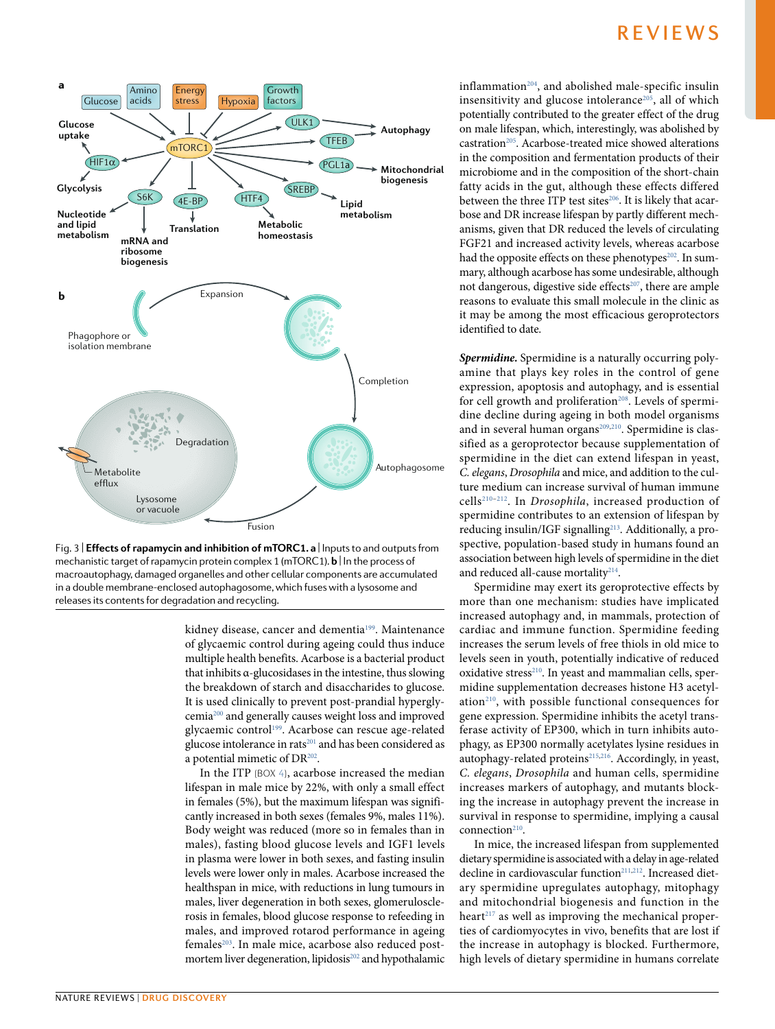

<span id="page-8-0"></span>Fig. 3 | **Effects of rapamycin and inhibition of mTORC1. a** | Inputs to and outputs from mechanistic target of rapamycin protein complex 1 (mTORC1). **b** | In the process of macroautophagy, damaged organelles and other cellular components are accumulated in a double membrane-enclosed autophagosome, which fuses with a lysosome and releases its contents for degradation and recycling.

kidney disease, cancer and dementia<sup>[199](#page-17-14)</sup>. Maintenance of glycaemic control during ageing could thus induce multiple health benefits. Acarbose is a bacterial product that inhibits  $\alpha$ -glucosidases in the intestine, thus slowing the breakdown of starch and disaccharides to glucose. It is used clinically to prevent post- prandial hyperglycemia[200](#page-17-15) and generally causes weight loss and improved glycaemic control<sup>[199](#page-17-14)</sup>. Acarbose can rescue age-related glucose intolerance in rats<sup>[201](#page-17-16)</sup> and has been considered as a potential mimetic of  $DR^{202}$  $DR^{202}$  $DR^{202}$ .

In the ITP (Box [4\)](#page-7-0), acarbose increased the median lifespan in male mice by 22%, with only a small effect in females (5%), but the maximum lifespan was significantly increased in both sexes (females 9%, males 11%). Body weight was reduced (more so in females than in males), fasting blood glucose levels and IGF1 levels in plasma were lower in both sexes, and fasting insulin levels were lower only in males. Acarbose increased the healthspan in mice, with reductions in lung tumours in males, liver degeneration in both sexes, glomerulosclerosis in females, blood glucose response to refeeding in males, and improved rotarod performance in ageing females<sup>[203](#page-17-17)</sup>. In male mice, acarbose also reduced post-mortem liver degeneration, lipidosis<sup>[202](#page-17-13)</sup> and hypothalamic

inflammation<sup>[204](#page-17-18)</sup>, and abolished male-specific insulin insensitivity and glucose intolerance<sup>[205](#page-17-19)</sup>, all of which potentially contributed to the greater effect of the drug on male lifespan, which, interestingly, was abolished by castration<sup>[205](#page-17-19)</sup>. Acarbose-treated mice showed alterations in the composition and fermentation products of their microbiome and in the composition of the short- chain fatty acids in the gut, although these effects differed between the three ITP test sites<sup>[206](#page-17-20)</sup>. It is likely that acarbose and DR increase lifespan by partly different mechanisms, given that DR reduced the levels of circulating FGF21 and increased activity levels, whereas acarbose had the opposite effects on these phenotypes<sup>[202](#page-17-13)</sup>. In summary, although acarbose has some undesirable, although not dangerous, digestive side effects<sup>[207](#page-17-21)</sup>, there are ample reasons to evaluate this small molecule in the clinic as it may be among the most efficacious geroprotectors identified to date.

**Spermidine.** Spermidine is a naturally occurring polyamine that plays key roles in the control of gene expression, apoptosis and autophagy, and is essential for cell growth and proliferation<sup>[208](#page-17-22)</sup>. Levels of spermidine decline during ageing in both model organisms and in several human organs<sup>[209,](#page-17-23)[210](#page-17-24)</sup>. Spermidine is classified as a geroprotector because supplementation of spermidine in the diet can extend lifespan in yeast, C. elegans, Drosophila and mice, and addition to the culture medium can increase survival of human immune cells[210–](#page-17-24)[212](#page-17-25). In Drosophila, increased production of spermidine contributes to an extension of lifespan by reducing insulin/IGF signalling<sup>[213](#page-17-26)</sup>. Additionally, a prospective, population- based study in humans found an association between high levels of spermidine in the diet and reduced all-cause mortality<sup>[214](#page-17-27)</sup>.

Spermidine may exert its geroprotective effects by more than one mechanism: studies have implicated increased autophagy and, in mammals, protection of cardiac and immune function. Spermidine feeding increases the serum levels of free thiols in old mice to levels seen in youth, potentially indicative of reduced oxidative stress<sup>[210](#page-17-24)</sup>. In yeast and mammalian cells, spermidine supplementation decreases histone H3 acetyl-ation<sup>[210](#page-17-24)</sup>, with possible functional consequences for gene expression. Spermidine inhibits the acetyl transferase activity of EP300, which in turn inhibits autophagy, as EP300 normally acetylates lysine residues in autophagy-related proteins<sup>[215](#page-17-28),[216](#page-17-29)</sup>. Accordingly, in yeast, C. elegans, Drosophila and human cells, spermidine increases markers of autophagy, and mutants blocking the increase in autophagy prevent the increase in survival in response to spermidine, implying a causal  $connection<sup>210</sup>$  $connection<sup>210</sup>$  $connection<sup>210</sup>$ .

In mice, the increased lifespan from supplemented dietary spermidine is associated with a delay in age- related decline in cardiovascular function<sup>[211](#page-17-30)[,212](#page-17-25)</sup>. Increased dietary spermidine upregulates autophagy, mitophagy and mitochondrial biogenesis and function in the heart $217$  as well as improving the mechanical properties of cardiomyocytes in vivo, benefits that are lost if the increase in autophagy is blocked. Furthermore, high levels of dietary spermidine in humans correlate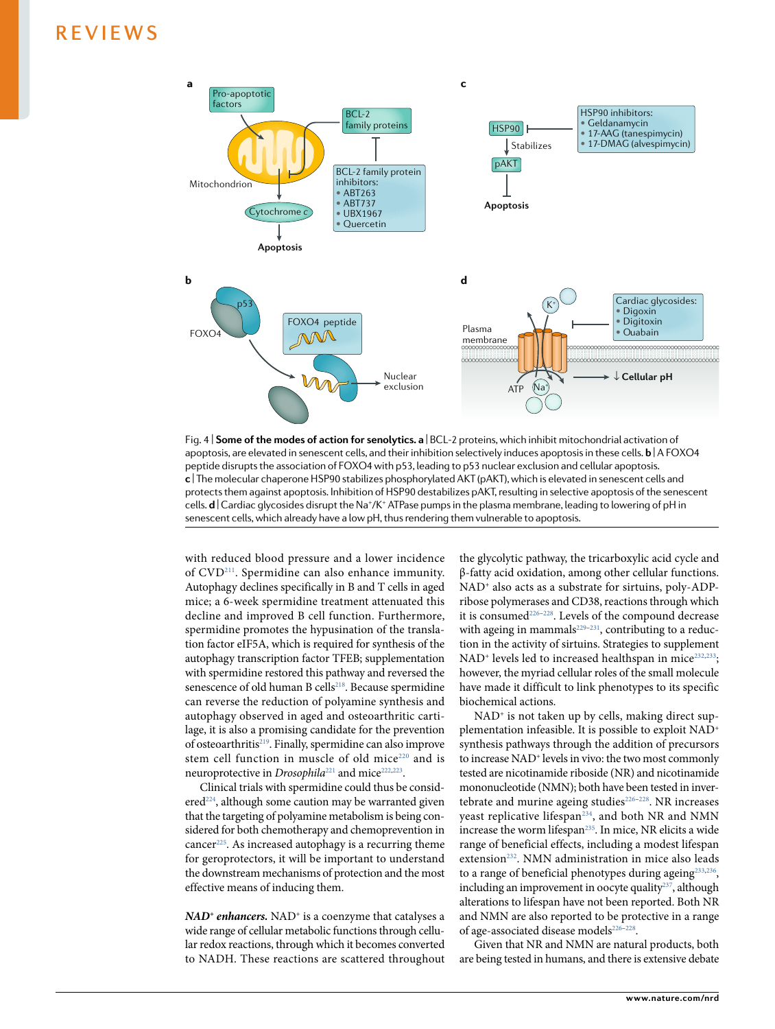

<span id="page-9-0"></span>Fig. 4 | **Some of the modes of action for senolytics. a** | BCL-2 proteins, which inhibit mitochondrial activation of apoptosis, are elevated in senescent cells, and their inhibition selectively induces apoptosis in these cells. **b** | A FOXO4 peptide disrupts the association of FOXO4 with p53, leading to p53 nuclear exclusion and cellular apoptosis. **c** | The molecular chaperone HSP90 stabilizes phosphorylated AKT (pAKT), which is elevated in senescent cells and protects them against apoptosis. Inhibition of HSP90 destabilizes pAKT, resulting in selective apoptosis of the senescent cells. **d** | Cardiac glycosides disrupt the Na<sup>+</sup>/K<sup>+</sup> ATPase pumps in the plasma membrane, leading to lowering of pH in senescent cells, which already have a low pH, thus rendering them vulnerable to apoptosis.

with reduced blood pressure and a lower incidence of CVD[211](#page-17-30). Spermidine can also enhance immunity. Autophagy declines specifically in B and T cells in aged mice; a 6- week spermidine treatment attenuated this decline and improved B cell function. Furthermore, spermidine promotes the hypusination of the translation factor eIF5A, which is required for synthesis of the autophagy transcription factor TFEB; supplementation with spermidine restored this pathway and reversed the senescence of old human B cells<sup>[218](#page-17-32)</sup>. Because spermidine can reverse the reduction of polyamine synthesis and autophagy observed in aged and osteoarthritic cartilage, it is also a promising candidate for the prevention of osteoarthritis<sup>[219](#page-17-33)</sup>. Finally, spermidine can also improve stem cell function in muscle of old mice<sup>[220](#page-17-34)</sup> and is neuroprotective in *Drosophila*<sup>[221](#page-17-35)</sup> and mice<sup>[222,](#page-17-36)[223](#page-17-37)</sup>.

Clinical trials with spermidine could thus be consid-ered<sup>[224](#page-17-38)</sup>, although some caution may be warranted given that the targeting of polyamine metabolism is being considered for both chemotherapy and chemoprevention in cancer<sup>[225](#page-17-39)</sup>. As increased autophagy is a recurring theme for geroprotectors, it will be important to understand the downstream mechanisms of protection and the most effective means of inducing them.

**NAD<sup>+</sup> enhancers.** NAD<sup>+</sup> is a coenzyme that catalyses a wide range of cellular metabolic functions through cellular redox reactions, through which it becomes converted to NADH. These reactions are scattered throughout the glycolytic pathway, the tricarboxylic acid cycle and β- fatty acid oxidation, among other cellular functions. NAD<sup>+</sup> also acts as a substrate for sirtuins, poly- ADPribose polymerases and CD38, reactions through which it is consumed<sup>226-[228](#page-17-41)</sup>. Levels of the compound decrease with ageing in mammals $229-231$  $229-231$ , contributing to a reduction in the activity of sirtuins. Strategies to supplement  $NAD<sup>+</sup>$  levels led to increased healthspan in mice<sup>[232,](#page-17-44)[233](#page-17-45)</sup>; however, the myriad cellular roles of the small molecule have made it difficult to link phenotypes to its specific biochemical actions.

NAD<sup>+</sup> is not taken up by cells, making direct supplementation infeasible. It is possible to exploit NAD<sup>+</sup> synthesis pathways through the addition of precursors to increase NAD<sup>+</sup> levels in vivo: the two most commonly tested are nicotinamide riboside (NR) and nicotinamide mononucleotide (NMN); both have been tested in inver-tebrate and murine ageing studies<sup>[226](#page-17-40)-228</sup>. NR increases yeast replicative lifespan<sup>[234](#page-17-46)</sup>, and both NR and NMN increase the worm lifespan<sup>[235](#page-17-47)</sup>. In mice, NR elicits a wide range of beneficial effects, including a modest lifespan extension<sup>[232](#page-17-44)</sup>. NMN administration in mice also leads to a range of beneficial phenotypes during ageing $233,236$  $233,236$ , including an improvement in oocyte quality<sup>[237](#page-17-49)</sup>, although alterations to lifespan have not been reported. Both NR and NMN are also reported to be protective in a range of age-associated disease models<sup>[226](#page-17-40)-[228](#page-17-41)</sup>.

Given that NR and NMN are natural products, both are being tested in humans, and there is extensive debate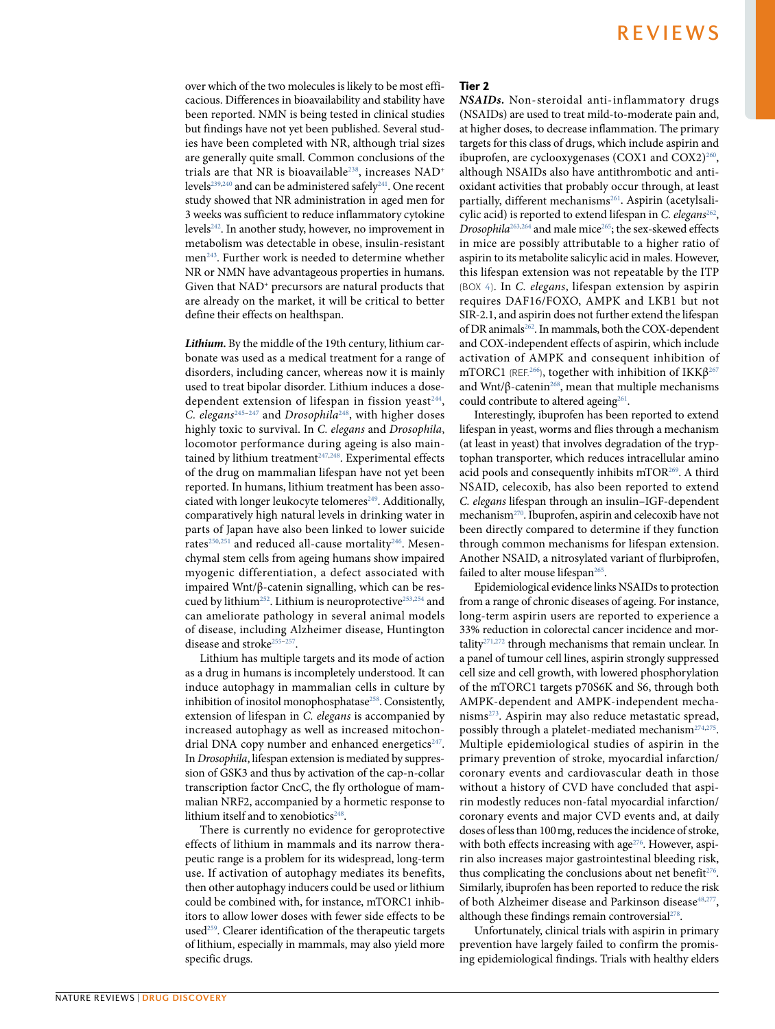over which of the two molecules is likely to be most efficacious. Differences in bioavailability and stability have been reported. NMN is being tested in clinical studies but findings have not yet been published. Several studies have been completed with NR, although trial sizes are generally quite small. Common conclusions of the trials are that NR is bioavailable<sup>[238](#page-17-50)</sup>, increases NAD<sup>+</sup> levels<sup>[239,](#page-17-51)[240](#page-17-52)</sup> and can be administered safely<sup>[241](#page-17-53)</sup>. One recent study showed that NR administration in aged men for 3 weeks was sufficient to reduce inflammatory cytokine levels<sup> $242$ </sup>. In another study, however, no improvement in metabolism was detectable in obese, insulin- resistant men<sup>[243](#page-17-55)</sup>. Further work is needed to determine whether NR or NMN have advantageous properties in humans. Given that NAD<sup>+</sup> precursors are natural products that are already on the market, it will be critical to better define their effects on healthspan.

**Lithium.** By the middle of the 19th century, lithium carbonate was used as a medical treatment for a range of disorders, including cancer, whereas now it is mainly used to treat bipolar disorder. Lithium induces a dosedependent extension of lifespan in fission yeast $244$ , C. elegans<sup>[245](#page-17-57)-247</sup> and Drosophila<sup>[248](#page-17-59)</sup>, with higher doses highly toxic to survival. In C. elegans and Drosophila, locomotor performance during ageing is also main-tained by lithium treatment<sup>[247](#page-17-58),[248](#page-17-59)</sup>. Experimental effects of the drug on mammalian lifespan have not yet been reported. In humans, lithium treatment has been asso-ciated with longer leukocyte telomeres<sup>[249](#page-17-60)</sup>. Additionally, comparatively high natural levels in drinking water in parts of Japan have also been linked to lower suicide rates<sup>[250](#page-17-61),[251](#page-17-62)</sup> and reduced all-cause mortality<sup>[246](#page-17-63)</sup>. Mesenchymal stem cells from ageing humans show impaired myogenic differentiation, a defect associated with impaired Wnt/β-catenin signalling, which can be res-cued by lithium<sup>[252](#page-18-3)</sup>. Lithium is neuroprotective<sup>[253](#page-18-4)[,254](#page-18-5)</sup> and can ameliorate pathology in several animal models of disease, including Alzheimer disease, Huntington disease and stroke<sup>255-[257](#page-18-7)</sup>.

Lithium has multiple targets and its mode of action as a drug in humans is incompletely understood. It can induce autophagy in mammalian cells in culture by inhibition of inositol monophosphatase<sup>[258](#page-18-8)</sup>. Consistently, extension of lifespan in C. elegans is accompanied by increased autophagy as well as increased mitochondrial DNA copy number and enhanced energetics $247$ . In Drosophila, lifespan extension is mediated by suppression of GSK3 and thus by activation of the cap-n-collar transcription factor CncC, the fly orthologue of mammalian NRF2, accompanied by a hormetic response to lithium itself and to xenobiotics $248$ .

There is currently no evidence for geroprotective effects of lithium in mammals and its narrow therapeutic range is a problem for its widespread, long-term use. If activation of autophagy mediates its benefits, then other autophagy inducers could be used or lithium could be combined with, for instance, mTORC1 inhibitors to allow lower doses with fewer side effects to be used<sup>[259](#page-18-9)</sup>. Clearer identification of the therapeutic targets of lithium, especially in mammals, may also yield more specific drugs.

#### Tier 2

**NSAIDs.** Non- steroidal anti- inflammatory drugs (NSAIDs) are used to treat mild-to-moderate pain and, at higher doses, to decrease inflammation. The primary targets for this class of drugs, which include aspirin and ibuprofen, are cyclooxygenases (COX1 and COX2)<sup>[260](#page-18-10)</sup>, although NSAIDs also have antithrombotic and antioxidant activities that probably occur through, at least partially, different mechanisms<sup>[261](#page-18-11)</sup>. Aspirin (acetylsali-cylic acid) is reported to extend lifespan in C. elegans<sup>[262](#page-18-12)</sup>, Drosophila<sup>[263,](#page-18-13)[264](#page-18-14)</sup> and male mice<sup>[265](#page-18-1)</sup>; the sex-skewed effects in mice are possibly attributable to a higher ratio of aspirin to its metabolite salicylic acid in males. However, this lifespan extension was not repeatable by the ITP (Box [4](#page-7-0)). In C. elegans, lifespan extension by aspirin requires DAF16/FOXO, AMPK and LKB1 but not SIR-2.1, and aspirin does not further extend the lifespan of DR animals<sup>[262](#page-18-12)</sup>. In mammals, both the COX-dependent and COX- independent effects of aspirin, which include activation of AMPK and consequent inhibition of mTORC1 (REF.<sup>[266](#page-18-15)</sup>), together with inhibition of IKK $\beta$ <sup>[267](#page-18-16)</sup> and Wnt/ $\beta$ -catenin<sup>[268](#page-18-17)</sup>, mean that multiple mechanisms could contribute to altered ageing<sup>[261](#page-18-11)</sup>.

Interestingly, ibuprofen has been reported to extend lifespan in yeast, worms and flies through a mechanism (at least in yeast) that involves degradation of the tryptophan transporter, which reduces intracellular amino acid pools and consequently inhibits mTOR<sup>[269](#page-18-0)</sup>. A third NSAID, celecoxib, has also been reported to extend C. elegans lifespan through an insulin–IGF- dependent mechanism[270](#page-18-18). Ibuprofen, aspirin and celecoxib have not been directly compared to determine if they function through common mechanisms for lifespan extension. Another NSAID, a nitrosylated variant of flurbiprofen, failed to alter mouse lifespan<sup>[265](#page-18-1)</sup>.

Epidemiological evidence links NSAIDs to protection from a range of chronic diseases of ageing. For instance, long- term aspirin users are reported to experience a 33% reduction in colorectal cancer incidence and mortality[271](#page-18-19)[,272](#page-18-20) through mechanisms that remain unclear. In a panel of tumour cell lines, aspirin strongly suppressed cell size and cell growth, with lowered phosphorylation of the mTORC1 targets p70S6K and S6, through both AMPK- dependent and AMPK- independent mechanisms[273](#page-18-21). Aspirin may also reduce metastatic spread, possibly through a platelet-mediated mechanism<sup>[274,](#page-18-22)[275](#page-18-23)</sup>. Multiple epidemiological studies of aspirin in the primary prevention of stroke, myocardial infarction/ coronary events and cardiovascular death in those without a history of CVD have concluded that aspirin modestly reduces non- fatal myocardial infarction/ coronary events and major CVD events and, at daily doses of less than 100 mg, reduces the incidence of stroke, with both effects increasing with age<sup>[276](#page-18-24)</sup>. However, aspirin also increases major gastrointestinal bleeding risk, thus complicating the conclusions about net benefit $276$ . Similarly, ibuprofen has been reported to reduce the risk of both Alzheimer disease and Parkinson disease<sup>[48,](#page-15-23)[277](#page-18-25)</sup>, although these findings remain controversial $278$ .

Unfortunately, clinical trials with aspirin in primary prevention have largely failed to confirm the promising epidemiological findings. Trials with healthy elders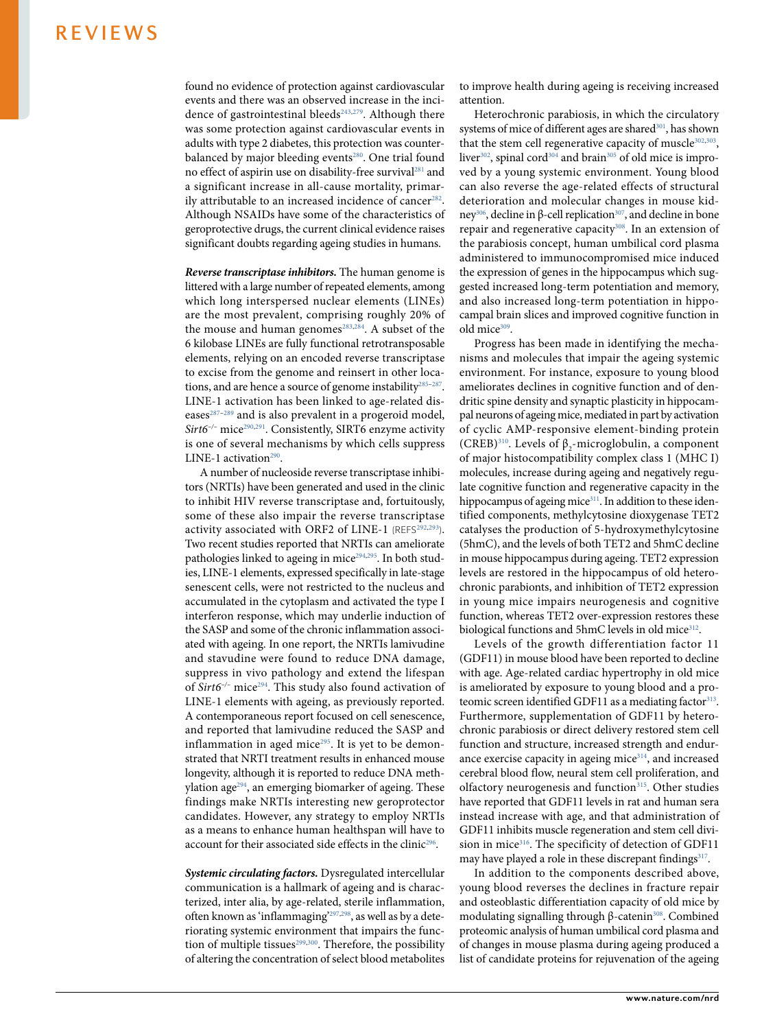found no evidence of protection against cardiovascular events and there was an observed increase in the inci-dence of gastrointestinal bleeds<sup>[243,](#page-17-55)[279](#page-18-27)</sup>. Although there was some protection against cardiovascular events in adults with type 2 diabetes, this protection was counter-balanced by major bleeding events<sup>[280](#page-18-28)</sup>. One trial found no effect of aspirin use on disability-free survival<sup>[281](#page-18-29)</sup> and a significant increase in all-cause mortality, primarily attributable to an increased incidence of cancer $282$ . Although NSAIDs have some of the characteristics of geroprotective drugs, the current clinical evidence raises significant doubts regarding ageing studies in humans.

**Reverse transcriptase inhibitors.** The human genome is littered with a large number of repeated elements, among which long interspersed nuclear elements (LINEs) are the most prevalent, comprising roughly 20% of the mouse and human genomes<sup>[283](#page-18-31)[,284](#page-18-32)</sup>. A subset of the 6 kilobase LINEs are fully functional retrotransposable elements, relying on an encoded reverse transcriptase to excise from the genome and reinsert in other loca-tions, and are hence a source of genome instability<sup>[285](#page-18-33)-287</sup>. LINE-1 activation has been linked to age-related diseases $287-289$  $287-289$  $287-289$  and is also prevalent in a progeroid model, Sirt6<sup>-/-</sup> mice<sup>[290](#page-18-36)[,291](#page-18-37)</sup>. Consistently, SIRT6 enzyme activity is one of several mechanisms by which cells suppress LINE-1 activation $290$ .

A number of nucleoside reverse transcriptase inhibitors (NRTIs) have been generated and used in the clinic to inhibit HIV reverse transcriptase and, fortuitously, some of these also impair the reverse transcriptase activity associated with ORF2 of LINE-1 (REFS $292,293$  $292,293$  $292,293$ ). Two recent studies reported that NRTIs can ameliorate pathologies linked to ageing in mice<sup>[294](#page-18-40)[,295](#page-18-41)</sup>. In both studies, LINE-1 elements, expressed specifically in late-stage senescent cells, were not restricted to the nucleus and accumulated in the cytoplasm and activated the type I interferon response, which may underlie induction of the SASP and some of the chronic inflammation associated with ageing. In one report, the NRTIs lamivudine and stavudine were found to reduce DNA damage, suppress in vivo pathology and extend the lifespan of Sirt6<sup>-/-</sup> mice<sup>[294](#page-18-40)</sup>. This study also found activation of LINE-1 elements with ageing, as previously reported. A contemporaneous report focused on cell senescence, and reported that lamivudine reduced the SASP and inflammation in aged mice $295$ . It is yet to be demonstrated that NRTI treatment results in enhanced mouse longevity, although it is reported to reduce DNA meth-ylation age<sup>[294](#page-18-40)</sup>, an emerging biomarker of ageing. These findings make NRTIs interesting new geroprotector candidates. However, any strategy to employ NRTIs as a means to enhance human healthspan will have to account for their associated side effects in the clinic<sup>[296](#page-18-42)</sup>.

**Systemic circulating factors.** Dysregulated intercellular communication is a hallmark of ageing and is characterized, inter alia, by age- related, sterile inflammation, often known as 'inflammaging'[297,](#page-18-43)[298](#page-18-44), as well as by a deteriorating systemic environment that impairs the func-tion of multiple tissues<sup>[299](#page-18-45)[,300](#page-18-46)</sup>. Therefore, the possibility of altering the concentration of select blood metabolites to improve health during ageing is receiving increased attention.

Heterochronic parabiosis, in which the circulatory systems of mice of different ages are shared<sup>[301](#page-18-47)</sup>, has shown that the stem cell regenerative capacity of muscle $302,303$  $302,303$ , liver<sup>[302](#page-18-48)</sup>, spinal cord<sup>[304](#page-18-50)</sup> and brain<sup>[305](#page-18-51)</sup> of old mice is improved by a young systemic environment. Young blood can also reverse the age- related effects of structural deterioration and molecular changes in mouse kid-ney<sup>[306](#page-18-52)</sup>, decline in β-cell replication<sup>[307](#page-18-53)</sup>, and decline in bone repair and regenerative capacity<sup>[308](#page-18-54)</sup>. In an extension of the parabiosis concept, human umbilical cord plasma administered to immunocompromised mice induced the expression of genes in the hippocampus which suggested increased long- term potentiation and memory, and also increased long-term potentiation in hippocampal brain slices and improved cognitive function in old mice<sup>[309](#page-18-55)</sup>.

Progress has been made in identifying the mechanisms and molecules that impair the ageing systemic environment. For instance, exposure to young blood ameliorates declines in cognitive function and of dendritic spine density and synaptic plasticity in hippocampal neurons of ageing mice, mediated in part by activation of cyclic AMP- responsive element- binding protein (CREB)<sup>[310](#page-18-56)</sup>. Levels of  $\beta_2$ -microglobulin, a component of major histocompatibility complex class 1 (MHC I) molecules, increase during ageing and negatively regulate cognitive function and regenerative capacity in the hippocampus of ageing mice<sup>[311](#page-18-57)</sup>. In addition to these identified components, methylcytosine dioxygenase TET2 catalyses the production of 5- hydroxymethylcytosine (5hmC), and the levels of both TET2 and 5hmC decline in mouse hippocampus during ageing. TET2 expression levels are restored in the hippocampus of old heterochronic parabionts, and inhibition of TET2 expression in young mice impairs neurogenesis and cognitive function, whereas TET2 over-expression restores these biological functions and 5hmC levels in old mice<sup>[312](#page-18-58)</sup>.

Levels of the growth differentiation factor 11 (GDF11) in mouse blood have been reported to decline with age. Age- related cardiac hypertrophy in old mice is ameliorated by exposure to young blood and a pro-teomic screen identified GDF11 as a mediating factor<sup>[313](#page-18-59)</sup>. Furthermore, supplementation of GDF11 by heterochronic parabiosis or direct delivery restored stem cell function and structure, increased strength and endur-ance exercise capacity in ageing mice<sup>[314](#page-18-60)</sup>, and increased cerebral blood flow, neural stem cell proliferation, and olfactory neurogenesis and function<sup>[315](#page-18-61)</sup>. Other studies have reported that GDF11 levels in rat and human sera instead increase with age, and that administration of GDF11 inhibits muscle regeneration and stem cell divi-sion in mice<sup>[316](#page-18-62)</sup>. The specificity of detection of GDF11 may have played a role in these discrepant findings<sup>[317](#page-18-63)</sup>.

In addition to the components described above, young blood reverses the declines in fracture repair and osteoblastic differentiation capacity of old mice by modulating signalling through β-catenin<sup>[308](#page-18-54)</sup>. Combined proteomic analysis of human umbilical cord plasma and of changes in mouse plasma during ageing produced a list of candidate proteins for rejuvenation of the ageing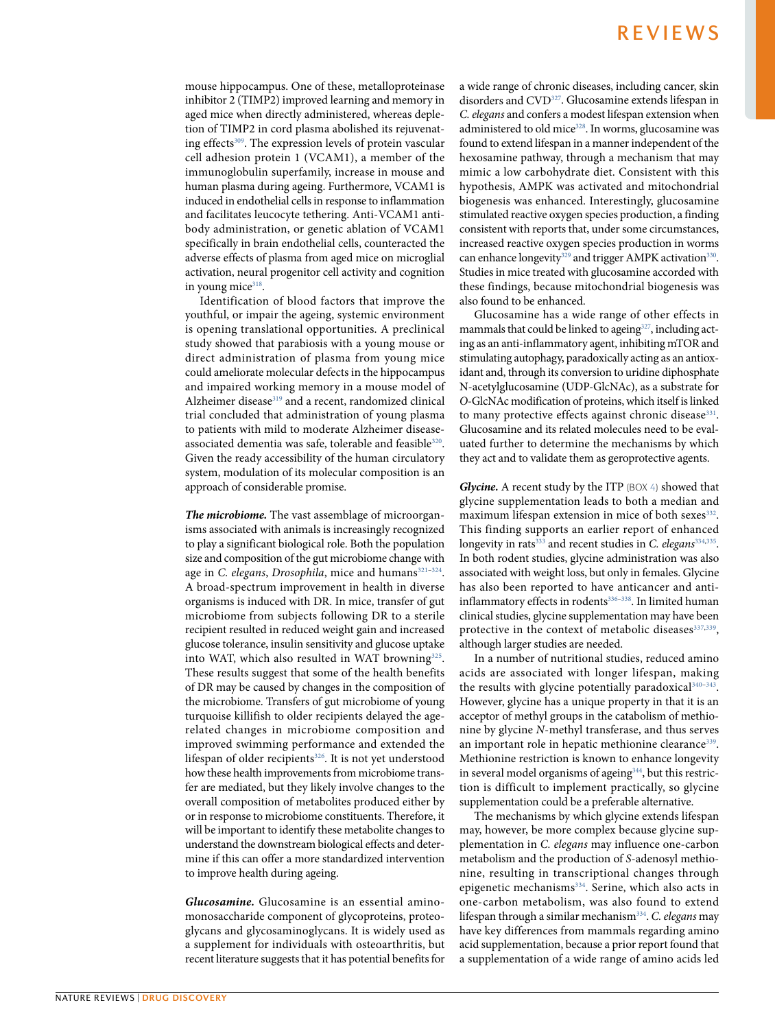mouse hippocampus. One of these, metalloproteinase inhibitor 2 (TIMP2) improved learning and memory in aged mice when directly administered, whereas depletion of TIMP2 in cord plasma abolished its rejuvenat-ing effects<sup>[309](#page-18-55)</sup>. The expression levels of protein vascular cell adhesion protein 1 (VCAM1), a member of the immunoglobulin superfamily, increase in mouse and human plasma during ageing. Furthermore, VCAM1 is induced in endothelial cells in response to inflammation and facilitates leucocyte tethering. Anti- VCAM1 antibody administration, or genetic ablation of VCAM1 specifically in brain endothelial cells, counteracted the adverse effects of plasma from aged mice on microglial activation, neural progenitor cell activity and cognition in young mice<sup>[318](#page-18-64)</sup>.

Identification of blood factors that improve the youthful, or impair the ageing, systemic environment is opening translational opportunities. A preclinical study showed that parabiosis with a young mouse or direct administration of plasma from young mice could ameliorate molecular defects in the hippocampus and impaired working memory in a mouse model of Alzheimer disease<sup>[319](#page-18-65)</sup> and a recent, randomized clinical trial concluded that administration of young plasma to patients with mild to moderate Alzheimer disease-associated dementia was safe, tolerable and feasible<sup>[320](#page-18-66)</sup>. Given the ready accessibility of the human circulatory system, modulation of its molecular composition is an approach of considerable promise.

**The microbiome.** The vast assemblage of microorganisms associated with animals is increasingly recognized to play a significant biological role. Both the population size and composition of the gut microbiome change with age in C. elegans, Drosophila, mice and humans<sup>[321](#page-18-67)-[324](#page-18-68)</sup>. A broad- spectrum improvement in health in diverse organisms is induced with DR. In mice, transfer of gut microbiome from subjects following DR to a sterile recipient resulted in reduced weight gain and increased glucose tolerance, insulin sensitivity and glucose uptake into WAT, which also resulted in WAT browning $325$ . These results suggest that some of the health benefits of DR may be caused by changes in the composition of the microbiome. Transfers of gut microbiome of young turquoise killifish to older recipients delayed the agerelated changes in microbiome composition and improved swimming performance and extended the lifespan of older recipients<sup>[326](#page-18-70)</sup>. It is not yet understood how these health improvements from microbiome transfer are mediated, but they likely involve changes to the overall composition of metabolites produced either by or in response to microbiome constituents. Therefore, it will be important to identify these metabolite changes to understand the downstream biological effects and determine if this can offer a more standardized intervention to improve health during ageing.

**Glucosamine.** Glucosamine is an essential aminomonosaccharide component of glycoproteins, proteoglycans and glycosaminoglycans. It is widely used as a supplement for individuals with osteoarthritis, but recent literature suggests that it has potential benefits for a wide range of chronic diseases, including cancer, skin disorders and CVD<sup>[327](#page-18-71)</sup>. Glucosamine extends lifespan in C. elegans and confers a modest lifespan extension when administered to old mice<sup>[328](#page-18-72)</sup>. In worms, glucosamine was found to extend lifespan in a manner independent of the hexosamine pathway, through a mechanism that may mimic a low carbohydrate diet. Consistent with this hypothesis, AMPK was activated and mitochondrial biogenesis was enhanced. Interestingly, glucosamine stimulated reactive oxygen species production, a finding consistent with reports that, under some circumstances, increased reactive oxygen species production in worms can enhance longevity<sup>[329](#page-18-73)</sup> and trigger AMPK activation<sup>[330](#page-18-74)</sup>. Studies in mice treated with glucosamine accorded with these findings, because mitochondrial biogenesis was also found to be enhanced.

Glucosamine has a wide range of other effects in mammals that could be linked to ageing<sup>[327](#page-18-71)</sup>, including acting as an anti- inflammatory agent, inhibiting mTOR and stimulating autophagy, paradoxically acting as an antioxidant and, through its conversion to uridine diphosphate N-acetylglucosamine (UDP-GlcNAc), as a substrate for O- GlcNAc modification of proteins, which itself is linked to many protective effects against chronic disease<sup>[331](#page-18-75)</sup>. Glucosamine and its related molecules need to be evaluated further to determine the mechanisms by which they act and to validate them as geroprotective agents.

**Glycine.** A recent study by the ITP (BOX [4](#page-7-0)) showed that glycine supplementation leads to both a median and maximum lifespan extension in mice of both sexes<sup>[332](#page-18-2)</sup>. This finding supports an earlier report of enhanced longevity in rats<sup>[333](#page-18-76)</sup> and recent studies in C. elegans<sup>[334,](#page-19-31)[335](#page-19-32)</sup>. In both rodent studies, glycine administration was also associated with weight loss, but only in females. Glycine has also been reported to have anticancer and anti-inflammatory effects in rodents<sup>336-[338](#page-19-34)</sup>. In limited human clinical studies, glycine supplementation may have been protective in the context of metabolic diseases<sup>[337](#page-19-35),[339](#page-19-36)</sup>, although larger studies are needed.

In a number of nutritional studies, reduced amino acids are associated with longer lifespan, making the results with glycine potentially paradoxical<sup>340-[343](#page-19-38)</sup>. However, glycine has a unique property in that it is an acceptor of methyl groups in the catabolism of methionine by glycine N- methyl transferase, and thus serves an important role in hepatic methionine clearance<sup>[339](#page-19-36)</sup>. Methionine restriction is known to enhance longevity in several model organisms of ageing<sup>[344](#page-19-39)</sup>, but this restriction is difficult to implement practically, so glycine supplementation could be a preferable alternative.

The mechanisms by which glycine extends lifespan may, however, be more complex because glycine supplementation in C. elegans may influence one-carbon metabolism and the production of S-adenosyl methionine, resulting in transcriptional changes through epigenetic mechanisms<sup>[334](#page-19-31)</sup>. Serine, which also acts in one- carbon metabolism, was also found to extend lifespan through a similar mechanism<sup>[334](#page-19-31)</sup>. C. elegans may have key differences from mammals regarding amino acid supplementation, because a prior report found that a supplementation of a wide range of amino acids led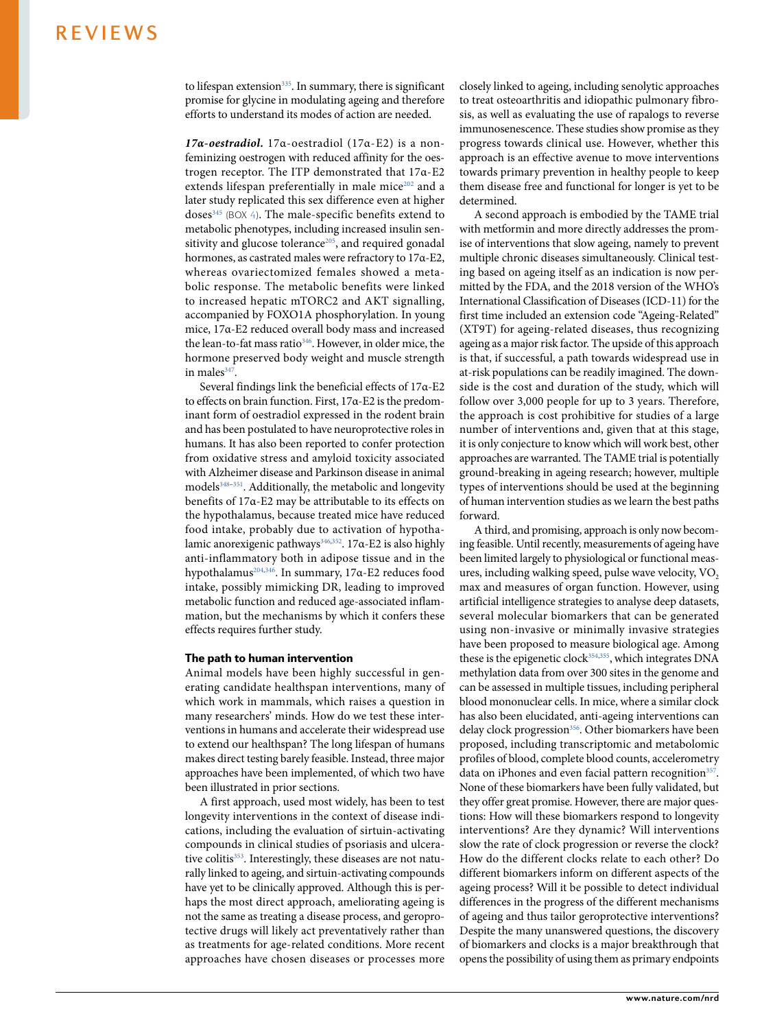to lifespan extension<sup>[335](#page-19-32)</sup>. In summary, there is significant promise for glycine in modulating ageing and therefore efforts to understand its modes of action are needed.

**17α- oestradiol.** 17α- oestradiol (17α- E2) is a nonfeminizing oestrogen with reduced affinity for the oestrogen receptor. The ITP demonstrated that 17α- E2 extends lifespan preferentially in male mice<sup>[202](#page-17-13)</sup> and a later study replicated this sex difference even at higher doses<sup>[345](#page-19-30)</sup> (BOX [4\)](#page-7-0). The male-specific benefits extend to metabolic phenotypes, including increased insulin sen-sitivity and glucose tolerance<sup>[205](#page-17-19)</sup>, and required gonadal hormones, as castrated males were refractory to 17α-E2, whereas ovariectomized females showed a metabolic response. The metabolic benefits were linked to increased hepatic mTORC2 and AKT signalling, accompanied by FOXO1A phosphorylation. In young mice, 17α-E2 reduced overall body mass and increased the lean-to-fat mass ratio<sup>[346](#page-19-40)</sup>. However, in older mice, the hormone preserved body weight and muscle strength in males $347$ .

Several findings link the beneficial effects of 17α- E2 to effects on brain function. First, 17α-E2 is the predominant form of oestradiol expressed in the rodent brain and has been postulated to have neuroprotective roles in humans. It has also been reported to confer protection from oxidative stress and amyloid toxicity associated with Alzheimer disease and Parkinson disease in animal models<sup>[348](#page-19-42)-351</sup>. Additionally, the metabolic and longevity benefits of 17α-E2 may be attributable to its effects on the hypothalamus, because treated mice have reduced food intake, probably due to activation of hypotha-lamic anorexigenic pathways<sup>[346](#page-19-40)[,352](#page-19-44)</sup>. 17α-E2 is also highly anti- inflammatory both in adipose tissue and in the hypothalamus<sup>[204,](#page-17-18)[346](#page-19-40)</sup>. In summary, 17α-E2 reduces food intake, possibly mimicking DR, leading to improved metabolic function and reduced age-associated inflammation, but the mechanisms by which it confers these effects requires further study.

#### The path to human intervention

Animal models have been highly successful in generating candidate healthspan interventions, many of which work in mammals, which raises a question in many researchers' minds. How do we test these interventions in humans and accelerate their widespread use to extend our healthspan? The long lifespan of humans makes direct testing barely feasible. Instead, three major approaches have been implemented, of which two have been illustrated in prior sections.

A first approach, used most widely, has been to test longevity interventions in the context of disease indications, including the evaluation of sirtuin- activating compounds in clinical studies of psoriasis and ulcera-tive colitis<sup>[353](#page-19-45)</sup>. Interestingly, these diseases are not naturally linked to ageing, and sirtuin- activating compounds have yet to be clinically approved. Although this is perhaps the most direct approach, ameliorating ageing is not the same as treating a disease process, and geroprotective drugs will likely act preventatively rather than as treatments for age- related conditions. More recent approaches have chosen diseases or processes more closely linked to ageing, including senolytic approaches to treat osteoarthritis and idiopathic pulmonary fibrosis, as well as evaluating the use of rapalogs to reverse immunosenescence. These studies show promise as they progress towards clinical use. However, whether this approach is an effective avenue to move interventions towards primary prevention in healthy people to keep them disease free and functional for longer is yet to be determined.

A second approach is embodied by the TAME trial with metformin and more directly addresses the promise of interventions that slow ageing, namely to prevent multiple chronic diseases simultaneously. Clinical testing based on ageing itself as an indication is now permitted by the FDA, and the 2018 version of the WHO's International Classification of Diseases (ICD-11) for the first time included an extension code "Ageing- Related" (XT9T) for ageing- related diseases, thus recognizing ageing as a major risk factor. The upside of this approach is that, if successful, a path towards widespread use in at- risk populations can be readily imagined. The downside is the cost and duration of the study, which will follow over 3,000 people for up to 3 years. Therefore, the approach is cost prohibitive for studies of a large number of interventions and, given that at this stage, it is only conjecture to know which will work best, other approaches are warranted. The TAME trial is potentially ground- breaking in ageing research; however, multiple types of interventions should be used at the beginning of human intervention studies as we learn the best paths forward.

A third, and promising, approach is only now becoming feasible. Until recently, measurements of ageing have been limited largely to physiological or functional measures, including walking speed, pulse wave velocity, VO<sub>2</sub> max and measures of organ function. However, using artificial intelligence strategies to analyse deep datasets, several molecular biomarkers that can be generated using non- invasive or minimally invasive strategies have been proposed to measure biological age. Among these is the epigenetic clock<sup>[354,](#page-19-46)[355](#page-19-47)</sup>, which integrates DNA methylation data from over 300 sites in the genome and can be assessed in multiple tissues, including peripheral blood mononuclear cells. In mice, where a similar clock has also been elucidated, anti-ageing interventions can delay clock progression<sup>[356](#page-19-48)</sup>. Other biomarkers have been proposed, including transcriptomic and metabolomic profiles of blood, complete blood counts, accelerometry data on iPhones and even facial pattern recognition<sup>[357](#page-19-49)</sup>. None of these biomarkers have been fully validated, but they offer great promise. However, there are major questions: How will these biomarkers respond to longevity interventions? Are they dynamic? Will interventions slow the rate of clock progression or reverse the clock? How do the different clocks relate to each other? Do different biomarkers inform on different aspects of the ageing process? Will it be possible to detect individual differences in the progress of the different mechanisms of ageing and thus tailor geroprotective interventions? Despite the many unanswered questions, the discovery of biomarkers and clocks is a major breakthrough that opens the possibility of using them as primary endpoints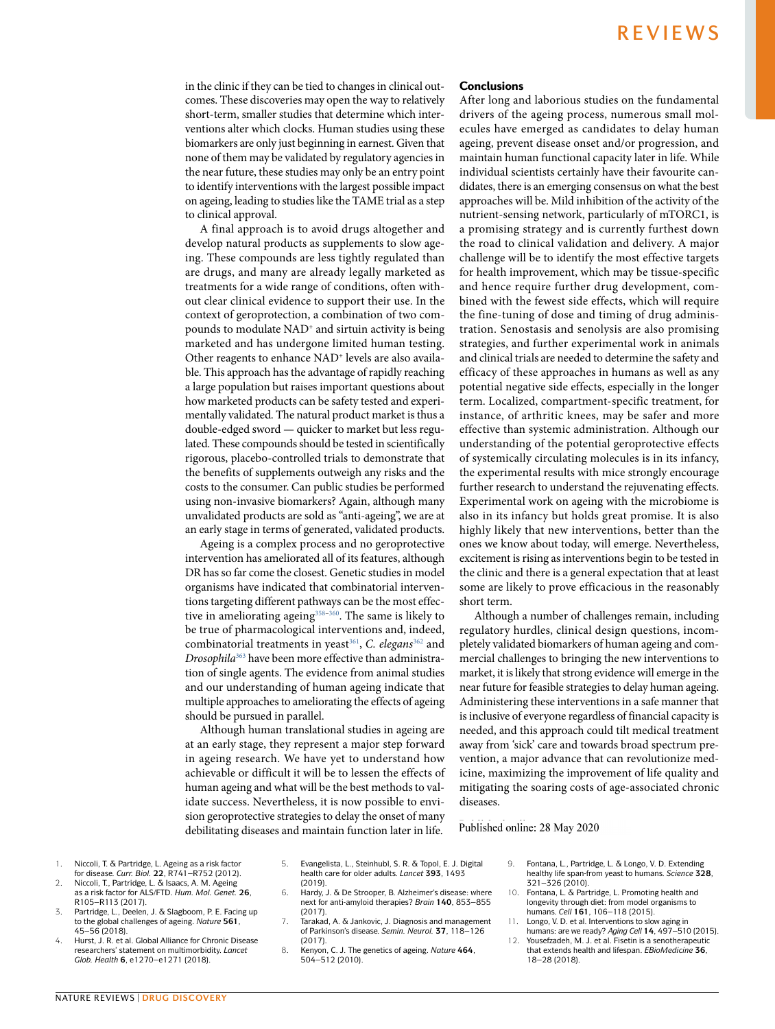in the clinic if they can be tied to changes in clinical outcomes. These discoveries may open the way to relatively short- term, smaller studies that determine which interventions alter which clocks. Human studies using these biomarkers are only just beginning in earnest. Given that none of them may be validated by regulatory agencies in the near future, these studies may only be an entry point to identify interventions with the largest possible impact on ageing, leading to studies like the TAME trial as a step to clinical approval.

A final approach is to avoid drugs altogether and develop natural products as supplements to slow ageing. These compounds are less tightly regulated than are drugs, and many are already legally marketed as treatments for a wide range of conditions, often without clear clinical evidence to support their use. In the context of geroprotection, a combination of two compounds to modulate NAD<sup>+</sup> and sirtuin activity is being marketed and has undergone limited human testing. Other reagents to enhance NAD<sup>+</sup> levels are also available. This approach has the advantage of rapidly reaching a large population but raises important questions about how marketed products can be safety tested and experimentally validated. The natural product market is thus a double- edged sword — quicker to market but less regulated. These compounds should be tested in scientifically rigorous, placebo- controlled trials to demonstrate that the benefits of supplements outweigh any risks and the costs to the consumer. Can public studies be performed using non-invasive biomarkers? Again, although many unvalidated products are sold as "anti- ageing", we are at an early stage in terms of generated, validated products.

Ageing is a complex process and no geroprotective intervention has ameliorated all of its features, although DR has so far come the closest. Genetic studies in model organisms have indicated that combinatorial interventions targeting different pathways can be the most effective in ameliorating ageing $358-360$  $358-360$  $358-360$ . The same is likely to be true of pharmacological interventions and, indeed, combinatorial treatments in yeast<sup>[361](#page-19-52)</sup>, C. elegans<sup>[362](#page-19-53)</sup> and Drosophila<sup>[363](#page-19-54)</sup> have been more effective than administration of single agents. The evidence from animal studies and our understanding of human ageing indicate that multiple approaches to ameliorating the effects of ageing should be pursued in parallel.

Although human translational studies in ageing are at an early stage, they represent a major step forward in ageing research. We have yet to understand how achievable or difficult it will be to lessen the effects of human ageing and what will be the best methods to validate success. Nevertheless, it is now possible to envision geroprotective strategies to delay the onset of many debilitating diseases and maintain function later in life.

#### **Conclusions**

After long and laborious studies on the fundamental drivers of the ageing process, numerous small molecules have emerged as candidates to delay human ageing, prevent disease onset and/or progression, and maintain human functional capacity later in life. While individual scientists certainly have their favourite candidates, there is an emerging consensus on what the best approaches will be. Mild inhibition of the activity of the nutrient- sensing network, particularly of mTORC1, is a promising strategy and is currently furthest down the road to clinical validation and delivery. A major challenge will be to identify the most effective targets for health improvement, which may be tissue- specific and hence require further drug development, combined with the fewest side effects, which will require the fine- tuning of dose and timing of drug administration. Senostasis and senolysis are also promising strategies, and further experimental work in animals and clinical trials are needed to determine the safety and efficacy of these approaches in humans as well as any potential negative side effects, especially in the longer term. Localized, compartment- specific treatment, for instance, of arthritic knees, may be safer and more effective than systemic administration. Although our understanding of the potential geroprotective effects of systemically circulating molecules is in its infancy, the experimental results with mice strongly encourage further research to understand the rejuvenating effects. Experimental work on ageing with the microbiome is also in its infancy but holds great promise. It is also highly likely that new interventions, better than the ones we know about today, will emerge. Nevertheless, excitement is rising as interventions begin to be tested in the clinic and there is a general expectation that at least some are likely to prove efficacious in the reasonably short term.

Although a number of challenges remain, including regulatory hurdles, clinical design questions, incompletely validated biomarkers of human ageing and commercial challenges to bringing the new interventions to market, it is likely that strong evidence will emerge in the near future for feasible strategies to delay human ageing. Administering these interventions in a safe manner that is inclusive of everyone regardless of financial capacity is needed, and this approach could tilt medical treatment away from 'sick' care and towards broad spectrum prevention, a major advance that can revolutionize medicine, maximizing the improvement of life quality and mitigating the soaring costs of age- associated chronic diseases.

Published online: 28 May 2020

- <span id="page-14-0"></span>1. Niccoli, T. & Partridge, L. Ageing as a risk factor for disease. *Curr. Biol.* **22**, R741–R752 (2012). 2. Niccoli, T., Partridge, L. & Isaacs, A. M. Ageing
- as a risk factor for ALS/FTD. *Hum. Mol. Genet.* **26**, R105–R113 (2017).
- <span id="page-14-1"></span>Partridge, L., Deelen, J. & Slagboom, P. E. Facing up to the global challenges of ageing. *Nature* **561**, 45–56 (2018).
- <span id="page-14-2"></span>4. Hurst, J. R. et al. Global Alliance for Chronic Disease researchers' statement on multimorbidity. *Lancet Glob. Health* **6**, e1270–e1271 (2018).
- <span id="page-14-3"></span>5. Evangelista, L., Steinhubl, S. R. & Topol, E. J. Digital health care for older adults. *Lancet* **393**, 1493 (2019).
- <span id="page-14-4"></span>6. Hardy, J. & De Strooper, B. Alzheimer's disease: where next for anti- amyloid therapies? *Brain* **140**, 853–855  $(2017)$
- <span id="page-14-5"></span>7. Tarakad, A. & Jankovic, J. Diagnosis and management of Parkinson's disease. *Semin. Neurol.* **37**, 118–126 (2017).
- <span id="page-14-6"></span>8. Kenyon, C. J. The genetics of ageing. *Nature* **464**, 504–512 (2010).
- 9. Fontana, L., Partridge, L. & Longo, V. D. Extending healthy life span- from yeast to humans. *Science* **328**, 321–326 (2010).
- 10. Fontana, L. & Partridge, L. Promoting health and longevity through diet: from model organisms to humans. *Cell* **161**, 106–118 (2015).
- <span id="page-14-7"></span>11. Longo, V. D. et al. Interventions to slow aging in humans: are we ready? *Aging Cell* **14**, 497–510 (2015).
- <span id="page-14-8"></span>12. Yousefzadeh, M. J. et al. Fisetin is a senotherapeutic that extends health and lifespan. *EBioMedicine* **36**, 18–28 (2018).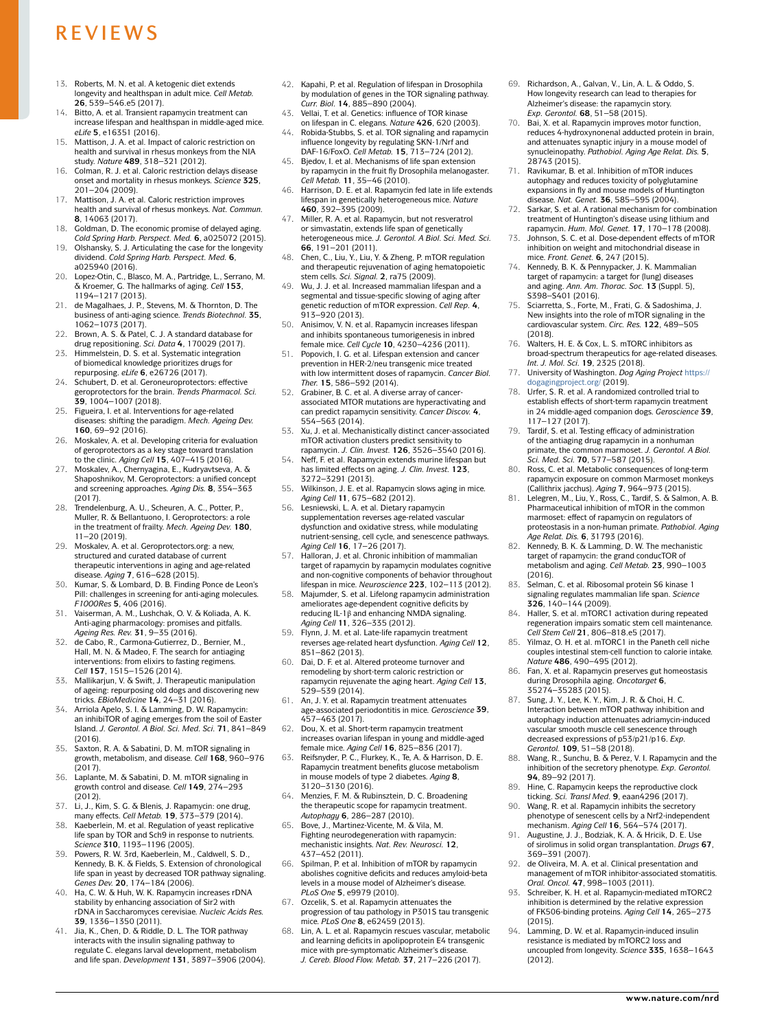- 13. Roberts, M. N. et al. A ketogenic diet extends longevity and healthspan in adult mice. *Cell Metab.* **26**, 539–546.e5 (2017).
- <span id="page-15-22"></span>Bitto, A. et al. Transient rapamycin treatment can increase lifespan and healthspan in middle-aged mice
- *eLife* **5**, e16351 (2016). 15. Mattison, J. A. et al. Impact of caloric restriction on health and survival in rhesus monkeys from the NIA study. *Nature* **489**, 318–321 (2012).
- 16. Colman, R. J. et al. Caloric restriction delays disease onset and mortality in rhesus monkeys. *Science* **325**, 201–204 (2009).
- <span id="page-15-0"></span>17. Mattison, J. A. et al. Caloric restriction improves health and survival of rhesus monkeys. *Nat. Commun.* **8**, 14063 (2017).
- <span id="page-15-1"></span>18. Goldman, D. The economic promise of delayed aging. *Cold Spring Harb. Perspect. Med.* **6**, a025072 (2015).
- <span id="page-15-2"></span>19. Olshansky, S. J. Articulating the case for the longevity dividend. *Cold Spring Harb. Perspect. Med.* **6**, a025940 (2016).
- <span id="page-15-3"></span>20. Lopez- Otin, C., Blasco, M. A., Partridge, L., Serrano, M. & Kroemer, G. The hallmarks of aging. *Cell* **153**, 1194–1217 (2013).
- <span id="page-15-4"></span>21. de Magalhaes, J. P., Stevens, M. & Thornton, D. The business of anti- aging science. *Trends Biotechnol.* **35**, 1062–1073 (2017).
- <span id="page-15-5"></span>22. Brown, A. S. & Patel, C. J. A standard database for drug repositioning. *Sci. Data* **4**, 170029 (2017). 23. Himmelstein, D. S. et al. Systematic integration
- <span id="page-15-6"></span>of biomedical knowledge prioritizes drugs for repurposing. *eLife* **6**, e26726 (2017).
- <span id="page-15-7"></span>24. Schubert, D. et al. Geroneuroprotectors: effective geroprotectors for the brain. *Trends Pharmacol. Sci.* **39**, 1004–1007 (2018).
- 25. Figueira, I. et al. Interventions for age-related diseases: shifting the paradigm. *Mech. Ageing Dev.* **160**, 69–92 (2016).
- <span id="page-15-9"></span>26. Moskalev, A. et al. Developing criteria for evaluation of geroprotectors as a key stage toward translation to the clinic. *Aging Cell* **15**, 407–415 (2016).
- 27. Moskalev, A., Chernyagina, E., Kudryavtseva, A. & Shaposhnikov, M. Geroprotectors: a unified concept and screening approaches. *Aging Dis.* **8**, 354–363 (2017).
- 28. Trendelenburg, A. U., Scheuren, A. C., Potter, P., Muller, R. & Bellantuono, I. Geroprotectors: a role in the treatment of frailty. *Mech. Ageing Dev.* **180**, 11–20 (2019).
- 29. Moskalev, A. et al. Geroprotectors.org: a new, structured and curated database of current therapeutic interventions in aging and age-related
- disease. *Aging* **7**, 616–628 (2015). 30. Kumar, S. & Lombard, D. B. Finding Ponce de Leon's Pill: challenges in screening for anti- aging molecules. *F1000Res* **5**, 406 (2016).
- 31. Vaiserman, A. M., Lushchak, O. V. & Koliada, A. K. Anti-aging pharmacology: promises and pitfalls. *Ageing Res. Rev.* **31**, 9–35 (2016).
- 32. de Cabo, R., Carmona- Gutierrez, D., Bernier, M., Hall, M. N. & Madeo, F. The search for antiaging interventions: from elixirs to fasting regimens. *Cell* **157**, 1515–1526 (2014).
- <span id="page-15-8"></span>33. Mallikarjun, V. & Swift, J. Therapeutic manipulation of ageing: repurposing old dogs and discovering new tricks. *EBioMedicine* **14**, 24–31 (2016).
- <span id="page-15-10"></span>Arriola Apelo, S. I. & Lamming, D. W. Rapamycin: an inhibiTOR of aging emerges from the soil of Easte Island. *J. Gerontol. A Biol. Sci. Med. Sci.* **71**, 841–849 (2016).
- <span id="page-15-11"></span>35. Saxton, R. A. & Sabatini, D. M. mTOR signaling in growth, metabolism, and disease. *Cell* **168**, 960–976  $(2017)$
- <span id="page-15-12"></span>36. Laplante, M. & Sabatini, D. M. mTOR signaling in growth control and disease. *Cell* **149**, 274–293 (2012).
- <span id="page-15-13"></span>37. Li, J., Kim, S. G. & Blenis, J. Rapamycin: one drug, many effects. *Cell Metab.* **19**, 373–379 (2014).
- <span id="page-15-14"></span>38. Kaeberlein, M. et al. Regulation of yeast replicative life span by TOR and Sch9 in response to nutrients. *Science* **310**, 1193–1196 (2005).
- 39. Powers, R. W. 3rd, Kaeberlein, M., Caldwell, S. D., Kennedy, B. K. & Fields, S. Extension of chronological life span in yeast by decreased TOR pathway signaling. *Genes Dev.* **20**, 174–184 (2006).
- <span id="page-15-15"></span>40. Ha, C. W. & Huh, W. K. Rapamycin increases rDNA stability by enhancing association of Sir2 with rDNA in Saccharomyces cerevisiae. *Nucleic Acids Res.* **39**, 1336–1350 (2011).
- <span id="page-15-16"></span>41. Jia, K., Chen, D. & Riddle, D. L. The TOR pathway interacts with the insulin signaling pathway to regulate C. elegans larval development, metabolism and life span. *Development* **131**, 3897–3906 (2004).
- <span id="page-15-18"></span>42. Kapahi, P. et al. Regulation of lifespan in Drosophila by modulation of genes in the TOR signaling pathway. *Curr. Biol.* **14**, 885–890 (2004).
- 43. Vellai, T. et al. Genetics: influence of TOR kinase on lifespan in C. elegans. *Nature* **426**, 620 (2003).
- <span id="page-15-17"></span>44. Robida- Stubbs, S. et al. TOR signaling and rapamycin influence longevity by regulating SKN-1/Nrf and DAF-16/FoxO. *Cell Metab.* **15**, 713–724 (2012).
- <span id="page-15-19"></span>Bjedov, I. et al. Mechanisms of life span extension by rapamycin in the fruit fly Drosophila melanogaster. *Cell Metab.* **11**, 35–46 (2010).
- <span id="page-15-20"></span>46. Harrison, D. E. et al. Rapamycin fed late in life extends lifespan in genetically heterogeneous mice. *Nature* **460**, 392–395 (2009).
- <span id="page-15-21"></span>47. Miller, R. A. et al. Rapamycin, but not resveratrol or simvastatin, extends life span of genetically heterogeneous mice. *J. Gerontol. A Biol. Sci. Med. Sci.* **66**, 191–201 (2011).
- <span id="page-15-23"></span>48. Chen, C., Liu, Y., Liu, Y. & Zheng, P. mTOR regulation and therapeutic rejuvenation of aging hematopoietic stem cells. *Sci. Signal.* **2**, ra75 (2009).
- <span id="page-15-24"></span>49. Wu, J. J. et al. Increased mammalian lifespan and a segmental and tissue- specific slowing of aging after genetic reduction of mTOR expression. *Cell Rep.* **4**, 913–920 (2013).
- <span id="page-15-25"></span>50. Anisimov, V. N. et al. Rapamycin increases lifespan and inhibits spontaneous tumorigenesis in inbred female mice. *Cell Cycle* **10**, 4230–4236 (2011).
- 51. Popovich, I. G. et al. Lifespan extension and cancer prevention in HER-2/neu transgenic mice treated with low intermittent doses of rapamycin. *Cancer Biol. Ther.* **15**, 586–592 (2014).
- 52. Grabiner, B. C. et al. A diverse array of cancerassociated MTOR mutations are hyperactivating and can predict rapamycin sensitivity. *Cancer Discov.* **4**, 554–563 (2014).
- <span id="page-15-26"></span>Xu, J. et al. Mechanistically distinct cancer-associated mTOR activation clusters predict sensitivity to rapamycin. *J. Clin. Invest.* **126**, 3526–3540 (2016).
- <span id="page-15-27"></span>Neff, F. et al. Rapamycin extends murine lifespan but has limited effects on aging. *J. Clin. Invest.* **123**, 3272–3291 (2013).
- <span id="page-15-28"></span>55. Wilkinson, J. E. et al. Rapamycin slows aging in mice. *Aging Cell* **11**, 675–682 (2012).
- <span id="page-15-29"></span>56. Lesniewski, L. A. et al. Dietary rapamycin supplementation reverses age-related vascular dysfunction and oxidative stress, while modulating nutrient- sensing, cell cycle, and senescence pathways. *Aging Cell* **16**, 17–26 (2017).
- <span id="page-15-30"></span>57. Halloran, J. et al. Chronic inhibition of mammalian target of rapamycin by rapamycin modulates cognitive and non-cognitive components of behavior throughout lifespan in mice. *Neuroscience* **223**, 102–113 (2012).
- <span id="page-15-31"></span>58. Majumder, S. et al. Lifelong rapamycin administration ameliorates age- dependent cognitive deficits by reducing IL-1β and enhancing NMDA signaling. *Aging Cell* **11**, 326–335 (2012).
- <span id="page-15-32"></span>59. Flynn, J. M. et al. Late- life rapamycin treatment reverses age- related heart dysfunction. *Aging Cell* **12**, 851–862 (2013).
- <span id="page-15-33"></span>60. Dai, D. F. et al. Altered proteome turnover and remodeling by short- term caloric restriction or rapamycin rejuvenate the aging heart. *Aging Cell* **13**, 529–539 (2014).
- <span id="page-15-34"></span>61. An, J. Y. et al. Rapamycin treatment attenuates age- associated periodontitis in mice. *Geroscience* **39**, 457–463 (2017).
- <span id="page-15-35"></span>62. Dou, X. et al. Short- term rapamycin treatment increases ovarian lifespan in young and middle- aged female mice. *Aging Cell* **16**, 825–836 (2017).
- <span id="page-15-36"></span>Reifsnyder, P. C., Flurkey, K., Te, A. & Harrison, D. E. Rapamycin treatment benefits glucose metabolism in mouse models of type 2 diabetes. *Aging* **8**, 3120–3130 (2016).
- <span id="page-15-37"></span>64. Menzies, F. M. & Rubinsztein, D. C. Broadening the therapeutic scope for rapamycin treatment. *Autophagy* **6**, 286–287 (2010).
- <span id="page-15-38"></span>65. Bove, J., Martinez- Vicente, M. & Vila, M. Fighting neurodegeneration with rapamycin: mechanistic insights. *Nat. Rev. Neurosci.* **12**, 437–452 (2011).
- <span id="page-15-39"></span>66. Spilman, P. et al. Inhibition of mTOR by rapamycin abolishes cognitive deficits and reduces amyloid- beta levels in a mouse model of Alzheimer's disease. *PLoS One* **5**, e9979 (2010).
- 67. Ozcelik, S. et al. Rapamycin attenuates the progression of tau pathology in P301S tau transgenic mice. *PLoS One* **8**, e62459 (2013).
- 68. Lin, A. L. et al. Rapamycin rescues vascular, metabolic and learning deficits in apolipoprotein E4 transgenic mice with pre-symptomatic Alzheimer's disease. *J. Cereb. Blood Flow. Metab.* **37**, 217–226 (2017).
- <span id="page-15-40"></span>69. Richardson, A., Galvan, V., Lin, A. L. & Oddo, S. How longevity research can lead to therapies for Alzheimer's disease: the rapamycin story. *Exp. Gerontol.* **68**, 51–58 (2015).
- <span id="page-15-41"></span>70. Bai, X. et al. Rapamycin improves motor function, reduces 4-hydroxynonenal adducted protein in brain, and attenuates synaptic injury in a mouse model of synucleinopathy. *Pathobiol. Aging Age Relat. Dis.* **5**, 28743 (2015).
- <span id="page-15-42"></span>Ravikumar, B. et al. Inhibition of mTOR induces autophagy and reduces toxicity of polyglutamine expansions in fly and mouse models of Huntington disease. *Nat. Genet.* **36**, 585–595 (2004).
- <span id="page-15-43"></span>72. Sarkar, S. et al. A rational mechanism for combination treatment of Huntington's disease using lithium and rapamycin. *Hum. Mol. Genet.* **17**, 170–178 (2008).
- <span id="page-15-44"></span>73. Johnson, S. C. et al. Dose- dependent effects of mTOR inhibition on weight and mitochondrial disease in mice. *Front. Genet.* **6**, 247 (2015).
- <span id="page-15-45"></span>Kennedy, B. K. & Pennypacker, J. K. Mammalian target of rapamycin: a target for (lung) diseases and aging. *Ann. Am. Thorac. Soc.* **13** (Suppl. 5), S398–S401 (2016).
- <span id="page-15-46"></span>Sesse Breft (2010).<br>Sciarretta, S., Forte, M., Frati, G. & Sadoshima, J. New insights into the role of mTOR signaling in the cardiovascular system. *Circ. Res.* **122**, 489–505 (2018).
- <span id="page-15-47"></span>76. Walters, H. E. & Cox, L. S. mTORC inhibitors as broad- spectrum therapeutics for age- related diseases. *Int. J. Mol. Sci.* **19**, 2325 (2018).
- <span id="page-15-48"></span>77. University of Washington. *Dog Aging Project* [https://](https://dogagingproject.org/) [dogagingproject.org/](https://dogagingproject.org/) (2019).
- <span id="page-15-49"></span>78. Urfer, S. R. et al. A randomized controlled trial to establish effects of short- term rapamycin treatment in 24 middle- aged companion dogs. *Geroscience* **39**, 117–127 (2017).
- <span id="page-15-50"></span>79. Tardif, S. et al. Testing efficacy of administration of the antiaging drug rapamycin in a nonhuman primate, the common marmoset. *J. Gerontol. A Biol. Sci. Med. Sci.* **70**, 577–587 (2015).
- 80. Ross, C. et al. Metabolic consequences of long-term rapamycin exposure on common Marmoset monkeys
- <span id="page-15-51"></span>(Callithrix jacchus). *Aging* **7**, 964–973 (2015). 81. Lelegren, M., Liu, Y., Ross, C., Tardif, S. & Salmon, A. B. Pharmaceutical inhibition of mTOR in the common marmoset: effect of rapamycin on regulators of proteostasis in a non- human primate. *Pathobiol. Aging Age Relat. Dis.* **6**, 31793 (2016).
- <span id="page-15-52"></span>82. Kennedy, B. K. & Lamming, D. W. The mechanistic target of rapamycin: the grand conducTOR of metabolism and aging. *Cell Metab.* **23**, 990–1003 (2016).
- <span id="page-15-53"></span>83. Selman, C. et al. Ribosomal protein S6 kinase 1 signaling regulates mammalian life span. *Science* **326**, 140–144 (2009).
- <span id="page-15-54"></span>84. Haller, S. et al. mTORC1 activation during repeated regeneration impairs somatic stem cell maintenance. *Cell Stem Cell* **21**, 806–818.e5 (2017).
- <span id="page-15-55"></span>85. Yilmaz, O. H. et al. mTORC1 in the Paneth cell niche couples intestinal stem- cell function to calorie intake. *Nature* **486**, 490–495 (2012).
- <span id="page-15-56"></span>86. Fan, X. et al. Rapamycin preserves gut homeostasis during Drosophila aging. *Oncotarget* **6**, 35274–35283 (2015).
- <span id="page-15-57"></span>87. Sung, J. Y., Lee, K. Y., Kim, J. R. & Choi, H. C. Interaction between mTOR pathway inhibition and autophagy induction attenuates adriamycin-induced vascular smooth muscle cell senescence through decreased expressions of p53/p21/p16. *Exp. Gerontol.* **109**, 51–58 (2018).
- 88. Wang, R., Sunchu, B. & Perez, V. I. Rapamycin and the inhibition of the secretory phenotype. *Exp. Gerontol.* **94**, 89–92 (2017).
- 89. Hine, C. Rapamycin keeps the reproductive clock ticking. *Sci. Transl Med.* **9**, eaan4296 (2017).
- <span id="page-15-58"></span>90. Wang, R. et al. Rapamycin inhibits the secretory phenotype of senescent cells by a Nrf2-independent mechanism. *Aging Cell* **16**, 564–574 (2017).
- <span id="page-15-59"></span>91. Augustine, J. J., Bodziak, K. A. & Hricik, D. E. Use of sirolimus in solid organ transplantation. *Drugs* **67**, 369–391 (2007).
- <span id="page-15-60"></span>de Oliveira, M. A. et al. Clinical presentation and management of mTOR inhibitor- associated stomatitis. *Oral. Oncol.* **47**, 998–1003 (2011).
- <span id="page-15-61"></span>93. Schreiber, K. H. et al. Rapamycin- mediated mTORC2 inhibition is determined by the relative expression of FK506- binding proteins. *Aging Cell* **14**, 265–273 (2015).
- <span id="page-15-62"></span>94. Lamming, D. W. et al. Rapamycin-induced insulin resistance is mediated by mTORC2 loss and uncoupled from longevity. *Science* **335**, 1638–1643 (2012).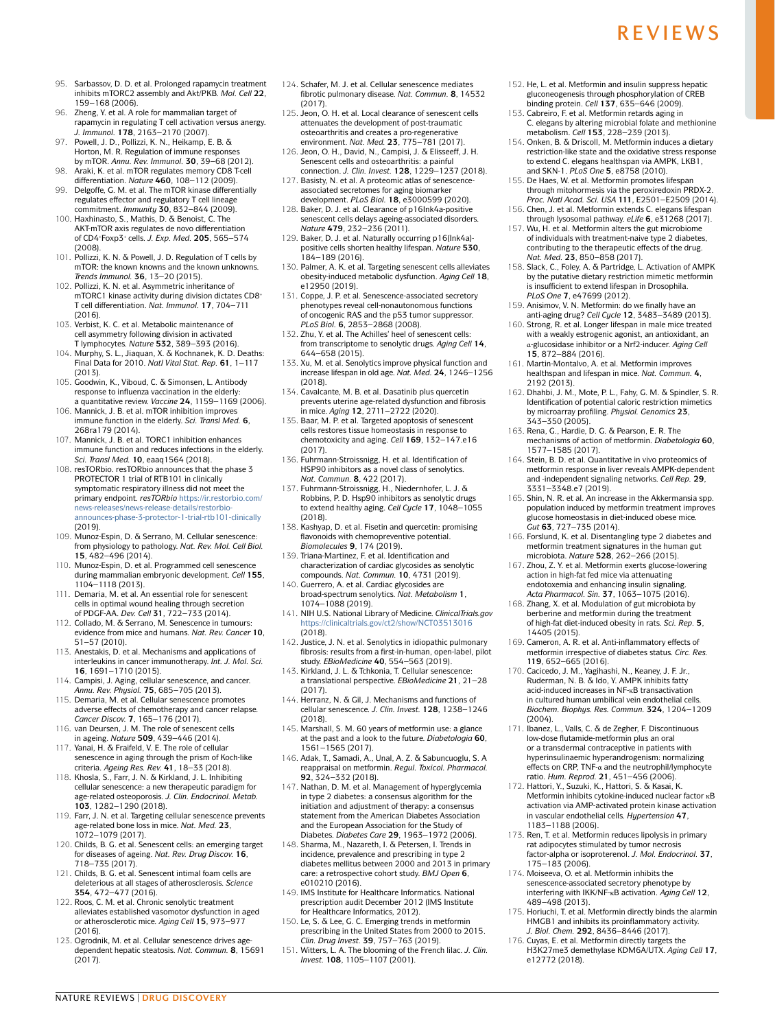- <span id="page-16-0"></span>95. Sarbassov, D. D. et al. Prolonged rapamycin treatment inhibits mTORC2 assembly and Akt/PKB. *Mol. Cell* **22**, 159–168 (2006).
- <span id="page-16-1"></span>Zheng, Y. et al. A role for mammalian target of rapamycin in regulating T cell activation versus anergy.
- <span id="page-16-2"></span>*J. Immunol.* **178**, 2163–2170 (2007). 97. Powell, J. D., Pollizzi, K. N., Heikamp, E. B. & Horton, M. R. Regulation of immune responses by mTOR. *Annu. Rev. Immunol.* **30**, 39–68 (2012).
- <span id="page-16-3"></span>98. Araki, K. et al. mTOR regulates memory CD8 T-cell differentiation. *Nature* **460**, 108–112 (2009).
- 99. Delgoffe, G. M. et al. The mTOR kinase differentially regulates effector and regulatory T cell lineage commitment. *Immunity* **30**, 832–844 (2009).
- 100. Haxhinasto, S., Mathis, D. & Benoist, C. The AKT-mTOR axis regulates de novo differentiation of CD4+Foxp3<sup>+</sup> cells. *J. Exp. Med.* **205**, 565–574 (2008).
- 101. Pollizzi, K. N. & Powell, J. D. Regulation of T cells by mTOR: the known knowns and the known unknowns. *Trends Immunol.* **36**, 13–20 (2015).
- 102. Pollizzi, K. N. et al. Asymmetric inheritance of mTORC1 kinase activity during division dictates CD8<sup>+</sup> T cell differentiation. *Nat. Immunol.* **17**, 704–711  $(2016)$
- <span id="page-16-4"></span>103. Verbist, K. C. et al. Metabolic maintenance of cell asymmetry following division in activated T lymphocytes. *Nature* **532**, 389–393 (2016).
- <span id="page-16-5"></span>104. Murphy, S. L., Jiaquan, X. & Kochnanek, K. D. Deaths: Final Data for 2010. *Natl Vital Stat. Rep.* **61**, 1–117 (2013).
- <span id="page-16-6"></span>105. Goodwin, K., Viboud, C. & Simonsen, L. Antibody response to influenza vaccination in the elderly: a quantitative review. *Vaccine* **24**, 1159–1169 (2006).
- <span id="page-16-7"></span>106. Mannick, J. B. et al. mTOR inhibition improves immune function in the elderly. *Sci. Transl Med.* **6**, 268ra179 (2014).
- <span id="page-16-8"></span>107. Mannick, J. B. et al. TORC1 inhibition enhances immune function and reduces infections in the elderly. *Sci. Transl Med.* **10**, eaaq1564 (2018).
- <span id="page-16-9"></span>108. resTORbio. resTORbio announces that the phase 3 PROTECTOR 1 trial of RTB101 in clinically symptomatic respiratory illness did not meet the primary endpoint. *resTORbio* [https://ir.restorbio.com/](https://ir.restorbio.com/news-releases/news-release-details/restorbio-announces-phase-3-protector-1-trial-rtb101-clinically) [news- releases/news- release- details/restorbio](https://ir.restorbio.com/news-releases/news-release-details/restorbio-announces-phase-3-protector-1-trial-rtb101-clinically)announces-phase-3-protector-1-trial-rtb101-clinically (2019).
- <span id="page-16-10"></span>109. Munoz-Espin. D. & Serrano, M. Cellular senescence: from physiology to pathology. *Nat. Rev. Mol. Cell Biol.* **15**, 482–496 (2014).
- <span id="page-16-11"></span>110. Munoz-Espin, D. et al. Programmed cell senescence during mammalian embryonic development. *Cell* **155**, 1104–1118 (2013).
- <span id="page-16-12"></span>111. Demaria, M. et al. An essential role for senescent cells in optimal wound healing through secretion of PDGF- AA. *Dev. Cell* **31**, 722–733 (2014).
- <span id="page-16-13"></span>112. Collado, M. & Serrano, M. Senescence in tumours: evidence from mice and humans. *Nat. Rev. Cancer* **10**, 51–57 (2010).
- <span id="page-16-14"></span>113. Anestakis, D. et al. Mechanisms and applications of interleukins in cancer immunotherapy. *Int. J. Mol. Sci.* **16**, 1691–1710 (2015).
- <span id="page-16-24"></span>114. Campisi, J. Aging, cellular senescence, and cancer. *Annu. Rev. Physiol.* **75**, 685–705 (2013).
- <span id="page-16-15"></span>115. Demaria, M. et al. Cellular senescence promotes adverse effects of chemotherapy and cancer relapse.
- <span id="page-16-16"></span>*Cancer Discov.* **7**, 165–176 (2017). 116. van Deursen, J. M. The role of senescent cells in ageing. *Nature* **509**, 439–446 (2014).
- <span id="page-16-17"></span>117. Yanai, H. & Fraifeld, V. E. The role of cellular senescence in aging through the prism of Koch-like criteria. *Ageing Res. Rev.* **41**, 18–33 (2018).
- <span id="page-16-18"></span>118. Khosla, S., Farr, J. N. & Kirkland, J. L. Inhibiting cellular senescence: a new therapeutic paradigm for age- related osteoporosis. *J. Clin. Endocrinol. Metab.* **103**, 1282–1290 (2018).
- <span id="page-16-19"></span>119. Farr, J. N. et al. Targeting cellular senescence prevents age- related bone loss in mice. *Nat. Med.* **23**, 1072–1079 (2017).
- <span id="page-16-20"></span>120. Childs, B. G. et al. Senescent cells: an emerging target for diseases of ageing. *Nat. Rev. Drug Discov.* **16**, 718–735 (2017).
- 121. Childs, B. G. et al. Senescent intimal foam cells are deleterious at all stages of atherosclerosis. *Science* **354**, 472–477 (2016).
- <span id="page-16-21"></span>122. Roos, C. M. et al. Chronic senolytic treatment alleviates established vasomotor dysfunction in aged or atherosclerotic mice. *Aging Cell* **15**, 973–977  $(2016)$
- <span id="page-16-22"></span>123. Ogrodnik, M. et al. Cellular senescence drives agedependent hepatic steatosis. *Nat. Commun.* **8**, 15691 (2017).
- <span id="page-16-23"></span>124. Schafer, M. J. et al. Cellular senescence mediates fibrotic pulmonary disease. *Nat. Commun.* **8**, 14532  $(2017)$
- <span id="page-16-25"></span>125. Jeon, O. H. et al. Local clearance of senescent cells attenuates the development of post-traumation osteoarthritis and creates a pro- regenerative
- <span id="page-16-26"></span>environment. *Nat. Med.* **23**, 775–781 (2017). 126. Jeon, O. H., David, N., Campisi, J. & Elisseeff, J. H. Senescent cells and osteoarthritis: a painful
- <span id="page-16-27"></span>connection. *J. Clin. Invest.* **128**, 1229–1237 (2018). 127. Basisty, N. et al. A proteomic atlas of senescenceassociated secretomes for aging biomarker development. *PLoS Biol.* **18**, e3000599 (2020).
- <span id="page-16-28"></span>128. Baker, D. J. et al. Clearance of p16Ink4a-positive senescent cells delays ageing-associated disorders. *Nature* **479**, 232–236 (2011).
- <span id="page-16-29"></span>129. Baker, D. J. et al. Naturally occurring p16(Ink4a) positive cells shorten healthy lifespan. *Nature* **530**, 184–189 (2016).
- <span id="page-16-30"></span>130. Palmer, A. K. et al. Targeting senescent cells alleviates obesity- induced metabolic dysfunction. *Aging Cell* **18**, e12950 (2019).
- <span id="page-16-31"></span>131. Coppe, J. P. et al. Senescence- associated secretory phenotypes reveal cell-nonautonomous functions of oncogenic RAS and the p53 tumor suppressor. *PLoS Biol.* **6**, 2853–2868 (2008).
- <span id="page-16-32"></span>132. Zhu, Y. et al. The Achilles' heel of senescent cells: from transcriptome to senolytic drugs. *Aging Cell* **14**, 644–658 (2015).
- <span id="page-16-33"></span>133. Xu, M. et al. Senolytics improve physical function and increase lifespan in old age. *Nat. Med.* **24**, 1246–1256  $(2018)$
- <span id="page-16-34"></span>134. Cavalcante, M. B. et al. Dasatinib plus quercetin prevents uterine age- related dysfunction and fibrosis in mice. *Aging* **12**, 2711–2722 (2020).
- <span id="page-16-35"></span>135. Baar, M. P. et al. Targeted apoptosis of senescent cells restores tissue homeostasis in response to chemotoxicity and aging. *Cell* **169**, 132–147.e16 (2017).
- <span id="page-16-36"></span>136. Fuhrmann-Stroissnigg, H. et al. Identification of HSP90 inhibitors as a novel class of senolytics. *Nat. Commun.* **8**, 422 (2017).
- <span id="page-16-37"></span>137. Fuhrmann-Stroissnigg, H., Niedernhofer, L. J. & Robbins, P. D. Hsp90 inhibitors as senolytic drugs to extend healthy aging. *Cell Cycle* **17**, 1048–1055 (2018).
- <span id="page-16-38"></span>138. Kashyap, D. et al. Fisetin and quercetin: promising flavonoids with chemopreventive potential. *Biomolecules* **9**, 174 (2019).
- <span id="page-16-39"></span>139. Triana- Martinez, F. et al. Identification and characterization of cardiac glycosides as senolytic compounds. *Nat. Commun.* **10**, 4731 (2019). 140. Guerrero, A. et al. Cardiac glycosides are
- <span id="page-16-40"></span>broad- spectrum senolytics. *Nat. Metabolism* **1**, 1074–1088 (2019).
- <span id="page-16-41"></span>141. NIH U.S. National Library of Medicine. *ClinicalTrials.gov* <https://clinicaltrials.gov/ct2/show/NCT03513016> (2018).
- <span id="page-16-42"></span>142. Justice, J. N. et al. Senolytics in idiopathic pulmonary fibrosis: results from a first-in-human, open-label, pilot study. *EBioMedicine* **40**, 554–563 (2019).
- <span id="page-16-43"></span>143. Kirkland, J. L. & Tchkonia, T. Cellular senescence: a translational perspective. *EBioMedicine* **21**, 21–28 (2017).
- <span id="page-16-44"></span>144. Herranz, N. & Gil, J. Mechanisms and functions of cellular senescence. *J. Clin. Invest.* **128**, 1238–1246  $(2018)$
- <span id="page-16-45"></span>145. Marshall, S. M. 60 years of metformin use: a glance at the past and a look to the future. *Diabetologia* **60**, 1561–1565 (2017).
- 146. Adak, T., Samadi, A., Unal, A. Z. & Sabuncuoglu, S. A reappraisal on metformin. *Regul. Toxicol. Pharmacol.* **92**, 324–332 (2018).
- <span id="page-16-46"></span>147. Nathan, D. M. et al. Management of hyperglycemia in type 2 diabetes: a consensus algorithm for the initiation and adjustment of therapy: a consensus statement from the American Diabetes Association and the European Association for the Study of Diabetes. *Diabetes Care* **29**, 1963–1972 (2006).
- <span id="page-16-47"></span>148. Sharma, M., Nazareth, I. & Petersen, I. Trends in incidence, prevalence and prescribing in type 2 diabetes mellitus between 2000 and 2013 in primary care: a retrospective cohort study. *BMJ Open* **6**, e010210 (2016).
- <span id="page-16-48"></span>149. IMS Institute for Healthcare Informatics. National prescription audit December 2012 (IMS Institute for Healthcare Informatics, 2012).
- <span id="page-16-49"></span>150. Le, S. & Lee, G. C. Emerging trends in metformin prescribing in the United States from 2000 to 2015.
- <span id="page-16-50"></span>*Clin. Drug Invest.* **39**, 757–763 (2019). 151. Witters, L. A. The blooming of the French lilac. *J. Clin. Invest.* **108**, 1105–1107 (2001).
- <span id="page-16-51"></span>152. He, L. et al. Metformin and insulin suppress hepatic gluconeogenesis through phosphorylation of CREB binding protein. *Cell* **137**, 635–646 (2009).
- <span id="page-16-52"></span>153. Cabreiro, F. et al. Metformin retards aging in C. elegans by altering microbial folate and methionine metabolism. *Cell* **153**, 228–239 (2013).
- <span id="page-16-53"></span>154. Onken, B. & Driscoll, M. Metformin induces a dietary restriction- like state and the oxidative stress response to extend C. elegans healthspan via AMPK, LKB1, and SKN-1. *PLoS One* **5**, e8758 (2010).
- <span id="page-16-54"></span>155. De Haes, W. et al. Metformin promotes lifespan through mitohormesis via the peroxiredoxin PRDX-2. *Proc. Natl Acad. Sci. USA* **111**, E2501–E2509 (2014).
- <span id="page-16-55"></span>156. Chen, J. et al. Metformin extends C. elegans lifespan through lysosomal pathway. *eLife* **6**, e31268 (2017).
- <span id="page-16-56"></span>157. Wu, H. et al. Metformin alters the gut microbiome of individuals with treatment-naive type 2 diabetes. contributing to the therapeutic effects of the drug. *Nat. Med.* **23**, 850–858 (2017).
- <span id="page-16-57"></span>158. Slack, C., Foley, A. & Partridge, L. Activation of AMPK by the putative dietary restriction mimetic metformin is insufficient to extend lifespan in Drosophila. *PLoS One* **7**, e47699 (2012).
- <span id="page-16-58"></span>159. Anisimov, V. N. Metformin: do we finally have an anti- aging drug? *Cell Cycle* **12**, 3483–3489 (2013).
- <span id="page-16-59"></span>160. Strong, R. et al. Longer lifespan in male mice treated with a weakly estrogenic agonist, an antioxidant, an α- glucosidase inhibitor or a Nrf2- inducer. *Aging Cell* **15**, 872–884 (2016).
- <span id="page-16-60"></span>161. Martin- Montalvo, A. et al. Metformin improves healthspan and lifespan in mice. *Nat. Commun.* **4**, 2192 (2013).
- <span id="page-16-61"></span>162. Dhahbi, J. M., Mote, P. L., Fahy, G. M. & Spindler, S. R. Identification of potential caloric restriction mimetics by microarray profiling. *Physiol. Genomics* **23**, 343–350 (2005).
- <span id="page-16-62"></span>163. Rena, G., Hardie, D. G. & Pearson, E. R. The mechanisms of action of metformin. *Diabetologia* **60**, 1577–1585 (2017).
- <span id="page-16-63"></span>164. Stein, B. D. et al. Quantitative in vivo proteomics of metformin response in liver reveals AMPK-dependent and - independent signaling networks. *Cell Rep.* **29**, 3331–3348.e7 (2019).
- <span id="page-16-64"></span>165. Shin, N. R. et al. An increase in the Akkermansia spp. population induced by metformin treatment improves glucose homeostasis in diet- induced obese mice. *Gut* **63**, 727–735 (2014).
- 166. Forslund, K. et al. Disentangling type 2 diabetes and metformin treatment signatures in the human gut microbiota. *Nature* **528**, 262–266 (2015).
- 167. Zhou, Z. Y. et al. Metformin exerts glucose- lowering action in high-fat fed mice via attenuating endotoxemia and enhancing insulin signaling. *Acta Pharmacol. Sin.* **37**, 1063–1075 (2016).
- <span id="page-16-65"></span>168. Zhang, X. et al. Modulation of gut microbiota by berberine and metformin during the treatment of high- fat diet- induced obesity in rats. *Sci. Rep.* **5**, 14405 (2015).
- <span id="page-16-66"></span>169. Cameron, A. R. et al. Anti-inflammatory effects of metformin irrespective of diabetes status. *Circ. Res.* **119**, 652–665 (2016).
- 170. Cacicedo, J. M., Yagihashi, N., Keaney, J. F. Jr., Ruderman, N. B. & Ido, Y. AMPK inhibits fatty acid- induced increases in NF- κB transactivation in cultured human umbilical vein endothelial cells. *Biochem. Biophys. Res. Commun.* **324**, 1204–1209 (2004).
- 171. Ibanez, L., Valls, C. & de Zegher, F. Discontinuous low- dose flutamide- metformin plus an oral or a transdermal contraceptive in patients with hyperinsulinaemic hyperandrogenism: normalizing effects on CRP, TNF-α and the neutrophil/lymphocyte
- ratio. *Hum. Reprod.* **21**, 451–456 (2006). 172. Hattori, Y., Suzuki, K., Hattori, S. & Kasai, K. Metformin inhibits cytokine- induced nuclear factor κB activation via AMP-activated protein kinase activation in vascular endothelial cells. *Hypertension* **47**, 1183–1188 (2006).
- <span id="page-16-67"></span>173. Ren, T. et al. Metformin reduces lipolysis in primary rat adipocytes stimulated by tumor necrosis factor- alpha or isoproterenol. *J. Mol. Endocrinol.* **37**, 175–183 (2006).
- <span id="page-16-68"></span>174. Moiseeva, O. et al. Metformin inhibits the senescence-associated secretory phenotype by interfering with IKK/NF- κB activation. *Aging Cell* **12**, 489–498 (2013).
- <span id="page-16-69"></span>175. Horiuchi, T. et al. Metformin directly binds the alarmin HMGB1 and inhibits its proinflammatory activity.
- <span id="page-16-70"></span>*J. Biol. Chem.* **292**, 8436–8446 (2017). 176. Cuyas, E. et al. Metformin directly targets the H3K27me3 demethylase KDM6A/UTX. *Aging Cell* **17**, e12772 (2018).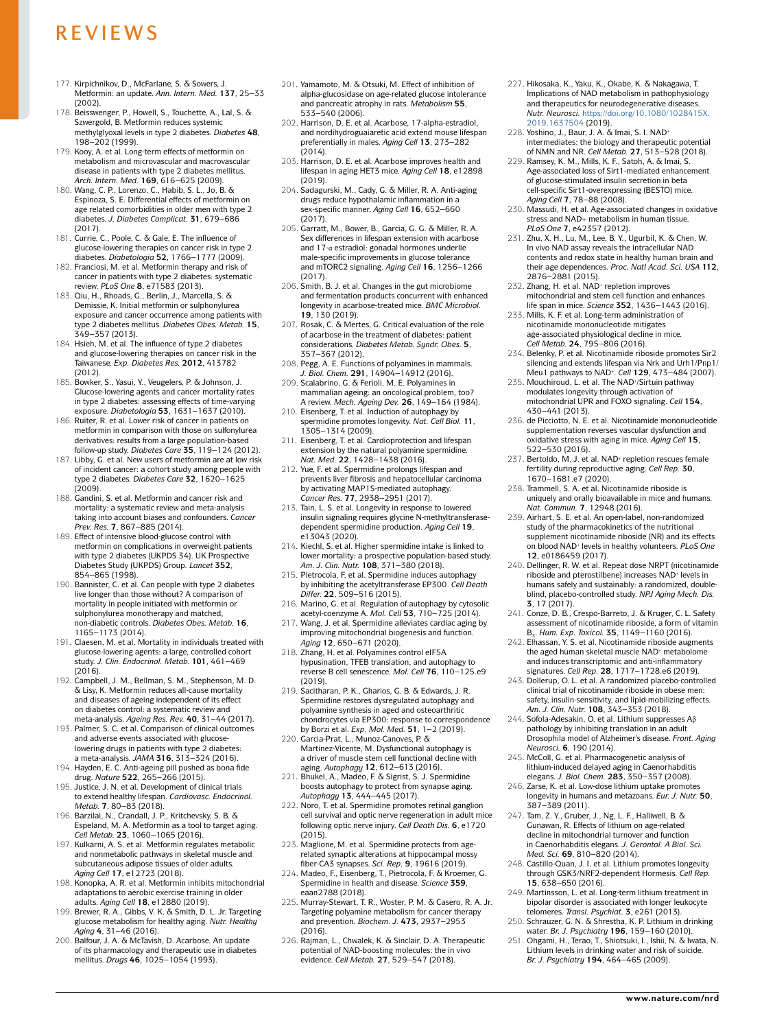- <span id="page-17-0"></span>177. Kirpichnikov, D., McFarlane, S. & Sowers, J. Metformin: an update. *Ann. Intern. Med.* **137**, 25–33 (2002).
- 178. Beisswenger, P., Howell, S., Touchette, A., Lal, S. & Szwergold, B. Metformin reduces systemic methylglyoxal levels in type 2 diabetes. *Diabetes* **48**, 198–202 (1999).
- 179. Kooy, A. et al. Long- term effects of metformin on metabolism and microvascular and macrovascular disease in patients with type 2 diabetes mellitus. *Arch. Intern. Med.* **169**, 616–625 (2009).
- <span id="page-17-1"></span>180. Wang, C. P., Lorenzo, C., Habib, S. L., Jo, B. & Espinoza, S. E. Differential effects of metformin on age related comorbidities in older men with type 2 diabetes. *J. Diabetes Complicat.* **31**, 679–686 (2017).
- 181. Currie, C., Poole, C. & Gale, E. The influence of glucose- lowering therapies on cancer risk in type 2 diabetes. *Diabetologia* **52**, 1766–1777 (2009).
- 182. Franciosi, M. et al. Metformin therapy and risk of cancer in patients with type 2 diabetes: systematic review. *PLoS One* **8**, e71583 (2013).
- 183. Qiu, H., Rhoads, G., Berlin, J., Marcella, S. & Demissie, K. Initial metformin or sulphonylurea exposure and cancer occurrence among patients with type 2 diabetes mellitus. *Diabetes Obes. Metab.* **15**, 349–357 (2013).
- 184. Hsieh, M. et al. The influence of type 2 diabetes and glucose- lowering therapies on cancer risk in the Taiwanese. *Exp. Diabetes Res.* **2012**, 413782 (2012).
- 185. Bowker, S., Yasui, Y., Veugelers, P. & Johnson, J. Glucose- lowering agents and cancer mortality rates in type 2 diabetes: assessing effects of time- varying exposure. *Diabetologia* **53**, 1631–1637 (2010).
- 186. Ruiter, R. et al. Lower risk of cancer in patients on metformin in comparison with those on sulfonylurea derivatives: results from a large population-based follow- up study. *Diabetes Care* **35**, 119–124 (2012).
- 187. Libby, G. et al. New users of metformin are at low risk of incident cancer: a cohort study among people with type 2 diabetes. *Diabetes Care* **32**, 1620–1625 (2009).
- <span id="page-17-2"></span>188. Gandini, S. et al. Metformin and cancer risk and mortality: a systematic review and meta-analysis taking into account biases and confounders. *Cancer Prev. Res.* **7**, 867–885 (2014).
- <span id="page-17-3"></span>189. Effect of intensive blood-glucose control with metformin on complications in overweight patients with type 2 diabetes (UKPDS 34). UK Prospective Diabetes Study (UKPDS) Group. *Lancet* **352**, 854–865 (1998).
- <span id="page-17-4"></span>190. Bannister, C. et al. Can people with type 2 diabetes live longer than those without? A comparison of mortality in people initiated with metformin or sulphonylurea monotherapy and matched, non- diabetic controls. *Diabetes Obes. Metab.* **16**, 1165–1173 (2014).
- <span id="page-17-5"></span>191. Claesen, M. et al. Mortality in individuals treated with glucose-lowering agents: a large, controlled cohort study. *J. Clin. Endocrinol. Metab.* **101**, 461–469 (2016).
- <span id="page-17-6"></span>192. Campbell, J. M., Bellman, S. M., Stephenson, M. D.  $\&$  Lisy, K. Metformin reduces all-cause mortality and diseases of ageing independent of its effect on diabetes control: a systematic review and meta- analysis. *Ageing Res. Rev.* **40**, 31–44 (2017).
- <span id="page-17-7"></span>193. Palmer, S. C. et al. Comparison of clinical outcomes and adverse events associated with glucoselowering drugs in patients with type 2 diabetes: a meta- analysis. *JAMA* **316**, 313–324 (2016).
- <span id="page-17-8"></span>194. Hayden, E. C. Anti- ageing pill pushed as bona fide drug. *Nature* **522**, 265–266 (2015). 195. Justice, J. N. et al. Development of clinical trials
- <span id="page-17-9"></span>to extend healthy lifespan. *Cardiovasc. Endocrinol. Metab.* **7**, 80–83 (2018).
- <span id="page-17-10"></span>196. Barzilai, N., Crandall, J. P., Kritchevsky, S. B. & Espeland, M. A. Metformin as a tool to target aging. *Cell Metab.* **23**, 1060–1065 (2016).
- <span id="page-17-11"></span>197. Kulkarni, A. S. et al. Metformin regulates metabolic and nonmetabolic pathways in skeletal muscle and subcutaneous adipose tissues of older adults. *Aging Cell* **17**, e12723 (2018).
- <span id="page-17-12"></span>198. Konopka, A. R. et al. Metformin inhibits mitochondrial adaptations to aerobic exercise training in older adults. *Aging Cell* **18**, e12880 (2019).
- <span id="page-17-14"></span>199. Brewer, R. A., Gibbs, V. K. & Smith, D. L. Jr. Targeting glucose metabolism for healthy aging. *Nutr. Healthy Aging* **4**, 31–46 (2016).
- <span id="page-17-15"></span>200. Balfour, J. A. & McTavish, D. Acarbose. An update of its pharmacology and therapeutic use in diabetes mellitus. *Drugs* **46**, 1025–1054 (1993).
- <span id="page-17-16"></span>201. Vamamoto, M. & Otsuki, M. Effect of inhibition of alpha- glucosidase on age- related glucose intolerance and pancreatic atrophy in rats. *Metabolism* **55**, 533–540 (2006).
- <span id="page-17-13"></span>202. Harrison, D. E. et al. Acarbose, 17-alpha-estradiol, and nordihydroguaiaretic acid extend mouse lifespan preferentially in males. *Aging Cell* **13**, 273–282 (2014).
- <span id="page-17-17"></span>203. Harrison, D. E. et al. Acarbose improves health and lifespan in aging HET3 mice. *Aging Cell* **18**, e12898 (2019).
- <span id="page-17-18"></span>204. Sadagurski, M., Cady, G. & Miller, R. A. Anti-aging drugs reduce hypothalamic inflammation in a sex- specific manner. *Aging Cell* **16**, 652–660  $(2017)$
- <span id="page-17-19"></span>205. Garratt, M., Bower, B., Garcia, G. G. & Miller, R. A. Sex differences in lifespan extension with acarbose and 17-α estradiol: gonadal hormones underlie male- specific improvements in glucose tolerance and mTORC2 signaling. *Aging Cell* **16**, 1256–1266  $(2017)$
- <span id="page-17-20"></span>206. Smith, B. J. et al. Changes in the gut microbiome and fermentation products concurrent with enhanced longevity in acarbose- treated mice. *BMC Microbiol.* **19**, 130 (2019).
- <span id="page-17-21"></span>207. Rosak, C. & Mertes, G. Critical evaluation of the role of acarbose in the treatment of diabetes: patient considerations. *Diabetes Metab. Syndr. Obes.* **5**, 357–367 (2012).
- <span id="page-17-22"></span>208. Pegg, A. E. Functions of polyamines in mammals. *J. Biol. Chem.* **291**, 14904–14912 (2016).
- <span id="page-17-23"></span>209. Scalabrino, G. & Ferioli, M. E. Polyamines in mammalian ageing: an oncological problem, too? A review. *Mech. Ageing Dev.* **26**, 149–164 (1984).
- <span id="page-17-24"></span>210. Eisenberg, T. et al. Induction of autophagy by spermidine promotes longevity. *Nat. Cell Biol.* **11**, 1305–1314 (2009).
- <span id="page-17-30"></span>211. Eisenberg, T. et al. Cardioprotection and lifespan extension by the natural polyamine spermidine. *Nat. Med.* **22**, 1428–1438 (2016).
- <span id="page-17-25"></span>212. Yue, F. et al. Spermidine prolongs lifespan and prevents liver fibrosis and hepatocellular carcinoma by activating MAP1S- mediated autophagy. *Cancer Res.* **77**, 2938–2951 (2017).
- <span id="page-17-26"></span>213. Tain, L. S. et al. Longevity in response to lowered insulin signaling requires glycine N-methyltransferase dependent spermidine production. *Aging Cell* **19**, e13043 (2020).
- <span id="page-17-27"></span>214. Kiechl, S. et al. Higher spermidine intake is linked to lower mortality: a prospective population-based study. *Am. J. Clin. Nutr.* **108**, 371–380 (2018).
- <span id="page-17-28"></span>215. Pietrocola, F. et al. Spermidine induces autophagy by inhibiting the acetyltransferase EP300. *Cell Death Differ.* **22**, 509–516 (2015). 216. Marino, G. et al. Regulation of autophagy by cytosolic
- <span id="page-17-29"></span>acetyl- coenzyme A. *Mol. Cell* **53**, 710–725 (2014).
- <span id="page-17-31"></span>217. Wang, J. et al. Spermidine alleviates cardiac aging by improving mitochondrial biogenesis and function. *Aging* **12**, 650–671 (2020).
- <span id="page-17-32"></span>218. Zhang, H. et al. Polyamines control eIF5A hypusination, TFEB translation, and autophagy to reverse B cell senescence. *Mol. Cell* **76**, 110–125.e9  $(2019)$
- <span id="page-17-33"></span>219. Sacitharan, P. K., Gharios, G. B. & Edwards, J. R. Spermidine restores dysregulated autophagy and polyamine synthesis in aged and osteoarthritic chondrocytes via EP300: response to correspondence by Borzi et al. *Exp. Mol. Med.* **51**, 1–2 (2019).
- <span id="page-17-34"></span>220. Garcia- Prat, L., Munoz- Canoves, P. & Martinez- Vicente, M. Dysfunctional autophagy is a driver of muscle stem cell functional decline with aging. *Autophagy* **12**, 612–613 (2016).
- <span id="page-17-35"></span>221. Bhukel, A., Madeo, F. & Sigrist, S. J. Spermidine boosts autophagy to protect from synapse aging. *Autophagy* **13**, 444–445 (2017).
- <span id="page-17-36"></span>222. Noro, T. et al. Spermidine promotes retinal ganglion cell survival and optic nerve regeneration in adult mice following optic nerve injury. *Cell Death Dis.* **6**, e1720 (2015).
- <span id="page-17-37"></span>223. Maglione, M. et al. Spermidine protects from agerelated synaptic alterations at hippocampal mossy fiber- CA3 synapses. *Sci. Rep.* **9**, 19616 (2019).
- <span id="page-17-38"></span>224. Madeo, F., Eisenberg, T., Pietrocola, F. & Kroemer, G. Spermidine in health and disease. *Science* **359**, eaan2788 (2018).
- <span id="page-17-39"></span>225. Murray- Stewart, T. R., Woster, P. M. & Casero, R. A. Jr. Targeting polyamine metabolism for cancer therapy and prevention. *Biochem. J.* **473**, 2937–2953 (2016).
- <span id="page-17-40"></span>226. Rajman, L., Chwalek, K. & Sinclair, D. A. Therapeutic potential of NAD- boosting molecules: the in vivo evidence. *Cell Metab.* **27**, 529–547 (2018).
- 227. Hikosaka, K., Yaku, K., Okabe, K. & Nakagawa, T. Implications of NAD metabolism in pathophysiology and therapeutics for neurodegenerative diseases. *Nutr. Neurosci.* [https://doi.org/10.1080/1028415X.](https://doi.org/10.1080/1028415X.2019.1637504)  [2019.1637504](https://doi.org/10.1080/1028415X.2019.1637504) (2019).
- <span id="page-17-41"></span>228. Yoshino, J., Baur, J. A. & Imai, S. I. NAD<sup>+</sup> intermediates: the biology and therapeutic potential of NMN and NR. *Cell Metab.* **27**, 513–528 (2018).
- <span id="page-17-42"></span>229. Ramsey, K. M., Mills, K. F., Satoh, A. & Imai, S. Age-associated loss of Sirt1-mediated enhancement of glucose-stimulated insulin secretion in beta cell-specific Sirt1-overexpressing (BESTO) mice *Aging Cell* **7**, 78–88 (2008).
- 230. Massudi, H. et al. Age-associated changes in oxidative stress and NAD+ metabolism in human tissue. *PLoS One* **7**, e42357 (2012).
- <span id="page-17-43"></span>231. Zhu, X. H., Lu, M., Lee, B. Y., Ugurbil, K. & Chen, W. In vivo NAD assay reveals the intracellular NAD contents and redox state in healthy human brain and their age dependences. *Proc. Natl Acad. Sci. USA* **112**, 2876–2881 (2015).
- <span id="page-17-44"></span>232. Zhang, H. et al. NAD<sup>+</sup> repletion improves mitochondrial and stem cell function and enhances life span in mice. *Science* **352**, 1436–1443 (2016).
- <span id="page-17-45"></span>233. Mills, K. F. et al. Long-term administration of nicotinamide mononucleotide mitigates age-associated physiological decline in mice.<br> *Cell Metab.* **24**, 795–806 (2016).<br>
234. Belenky, P. et al. Nicotinamide riboside promotes Sir2
- <span id="page-17-46"></span>silencing and extends lifespan via Nrk and Urh1/Pnp1/ Meu1 pathways to NAD<sup>+</sup> . *Cell* **129**, 473–484 (2007).
- <span id="page-17-47"></span>235. Mouchiroud, L. et al. The NAD<sup>+</sup>/Sirtuin pathway modulates longevity through activation of mitochondrial UPR and FOXO signaling. *Cell* **154**, 430–441 (2013).
- <span id="page-17-48"></span>236. de Picciotto, N. E. et al. Nicotinamide mononucleotide supplementation reverses vascular dysfunction and oxidative stress with aging in mice. *Aging Cell* **15**, 522–530 (2016).
- <span id="page-17-49"></span>237. Bertoldo, M. J. et al. NAD<sup>+</sup> repletion rescues female fertility during reproductive aging. *Cell Rep.* **30**, 1670–1681.e7 (2020).
- <span id="page-17-50"></span>238. Trammell, S. A. et al. Nicotinamide riboside is uniquely and orally bioavailable in mice and humans. *Nat. Commun.* **7**, 12948 (2016).
- <span id="page-17-51"></span>239. Airhart, S. E. et al. An open-label, non-randomized study of the pharmacokinetics of the nutritional supplement nicotinamide riboside (NR) and its effects on blood NAD<sup>+</sup> levels in healthy volunteers. *PLoS One* **12**, e0186459 (2017).
- <span id="page-17-52"></span>240. Dellinger, R. W. et al. Repeat dose NRPT (nicotinamide riboside and pterostilbene) increases NAD<sup>+</sup> levels in humans safely and sustainably: a randomized, doubleblind, placebo- controlled study. *NPJ Aging Mech. Dis.* **3**, 17 (2017).
- <span id="page-17-53"></span>241. Conze, D. B., Crespo- Barreto, J. & Kruger, C. L. Safety assessment of nicotinamide riboside, a form of vitamin
- <span id="page-17-54"></span>B<sub>3</sub>. *Hum. Exp. Toxicol.* **35**, 1149–1160 (2016).<br>242. Elhassan, Y. S. et al. Nicotinamide riboside augments the aged human skeletal muscle NAD<sup>+</sup> metabolome and induces transcriptomic and anti-inflammatory signatures. *Cell Rep.* **28**, 1717–1728.e6 (2019).
- <span id="page-17-55"></span>243. Dollerup, O. L. et al. A randomized placebo-controlled clinical trial of nicotinamide riboside in obese men: safety, insulin-sensitivity, and lipid-mobilizing effects. *Am. J. Clin. Nutr.* **108**, 343–353 (2018).
- <span id="page-17-56"></span>244. Sofola-Adesakin, O. et al. Lithium suppresses Aβ pathology by inhibiting translation in an adult Drosophila model of Alzheimer's disease. *Front. Aging Neurosci.* **6**, 190 (2014).
- <span id="page-17-57"></span>245. McColl, G. et al. Pharmacogenetic analysis of lithium- induced delayed aging in Caenorhabditis
- <span id="page-17-63"></span>elegans. *J. Biol. Chem.* **283**, 350–357 (2008). 246. Zarse, K. et al. Low- dose lithium uptake promotes longevity in humans and metazoans. *Eur. J. Nutr.* **50**, 387–389 (2011).
- <span id="page-17-58"></span>247. Tam, Z. Y., Gruber, J., Ng, L. F., Halliwell, B. & Gunawan, R. Effects of lithium on age-related decline in mitochondrial turnover and function in Caenorhabditis elegans. *J. Gerontol. A Biol. Sci. Med. Sci.* **69**, 810–820 (2014).
- <span id="page-17-59"></span>248. Castillo-Quan, J. I. et al. Lithium promotes longevity through GSK3/NRF2- dependent Hormesis. *Cell Rep.* **15**, 638–650 (2016).
- <span id="page-17-60"></span>249. Martinsson, L. et al. Long- term lithium treatment in bipolar disorder is associated with longer leukocyte telomeres. *Transl. Psychiat.* **3**, e261 (2013).
- <span id="page-17-61"></span>250. Schrauzer, G. N. & Shrestha, K. P. Lithium in drinking water. *Br. J. Psychiatry* **196**, 159–160 (2010). 251. Ohgami, H., Terao, T., Shiotsuki, I., Ishii, N. & Iwata, N.
- <span id="page-17-62"></span>Lithium levels in drinking water and risk of suicide. *Br. J. Psychiatry* **194**, 464–465 (2009).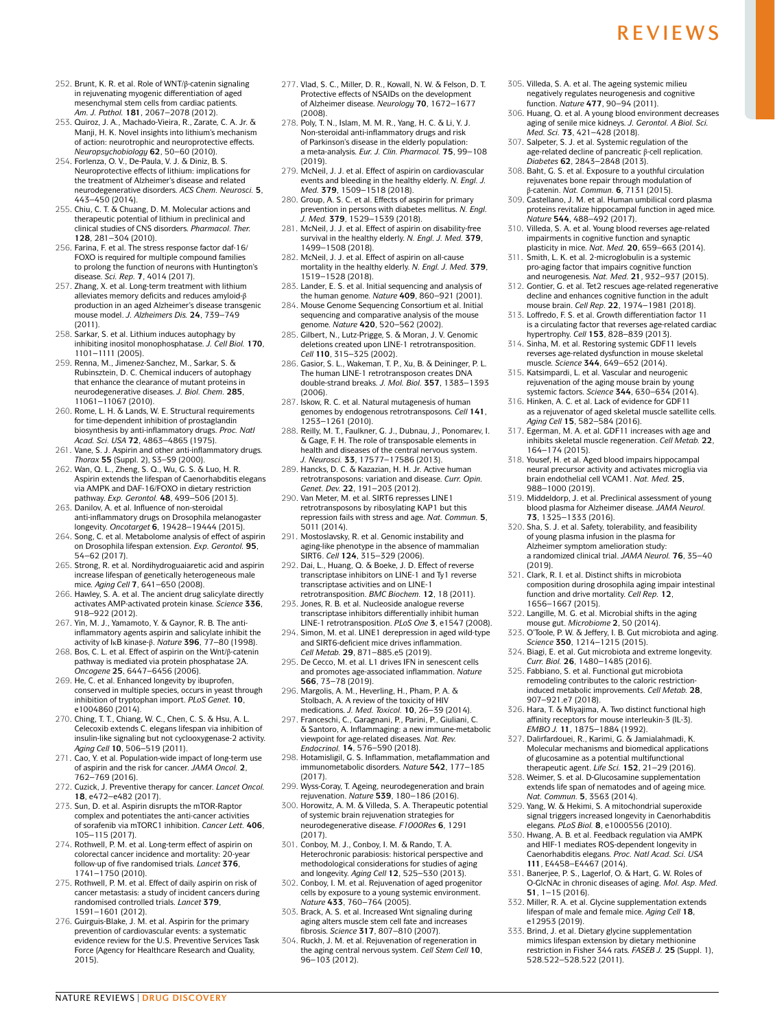- <span id="page-18-3"></span>252. Brunt, K. R. et al. Role of WNT/β-catenin signaling in rejuvenating myogenic differentiation of aged mesenchymal stem cells from cardiac patients. *Am. J. Pathol.* **181**, 2067–2078 (2012).
- <span id="page-18-4"></span>253. Quiroz, J. A., Machado- Vieira, R., Zarate, C. A. Jr. & Manji, H. K. Novel insights into lithium's mechanism of action: neurotrophic and neuroprotective effects. *Neuropsychobiology* **62**, 50–60 (2010).
- <span id="page-18-5"></span>254. Forlenza, O. V., De- Paula, V. J. & Diniz, B. S. Neuroprotective effects of lithium: implications for the treatment of Alzheimer's disease and related neurodegenerative disorders. *ACS Chem. Neurosci.* **5**, 443–450 (2014).
- <span id="page-18-6"></span>255. Chiu, C. T. & Chuang, D. M. Molecular actions and therapeutic potential of lithium in preclinical and clinical studies of CNS disorders. *Pharmacol. Ther.* **128**, 281–304 (2010).
- 256. Farina, F. et al. The stress response factor daf-16/ FOXO is required for multiple compound families to prolong the function of neurons with Huntington's disease. *Sci. Rep.* **7**, 4014 (2017).
- <span id="page-18-7"></span>257. Zhang, X. et al. Long- term treatment with lithium alleviates memory deficits and reduces amyloid- β production in an aged Alzheimer's disease transgenic mouse model. *J. Alzheimers Dis.* **24**, 739–749  $(2011)$
- <span id="page-18-8"></span>258. Sarkar, S. et al. Lithium induces autophagy by inhibiting inositol monophosphatase. *J. Cell Biol.* **170**, 1101–1111 (2005).
- <span id="page-18-9"></span>259. Renna, M., Jimenez- Sanchez, M., Sarkar, S. & Rubinsztein, D. C. Chemical inducers of autophagy that enhance the clearance of mutant proteins in neurodegenerative diseases. *J. Biol. Chem.* **285**, 11061–11067 (2010).
- <span id="page-18-10"></span>260. Rome, L. H. & Lands, W. E. Structural requirements for time- dependent inhibition of prostaglandin biosynthesis by anti- inflammatory drugs. *Proc. Natl Acad. Sci. USA* **72**, 4863–4865 (1975).
- <span id="page-18-11"></span>261. Vane, S. J. Aspirin and other anti-inflammatory drugs. *Thorax* **55** (Suppl. 2), S3–S9 (2000).
- <span id="page-18-12"></span>262. Wan, Q. L., Zheng, S. Q., Wu, G. S. & Luo, H. R. Aspirin extends the lifespan of Caenorhabditis elegans via AMPK and DAF-16/FOXO in dietary restriction pathway. *Exp. Gerontol.* **48**, 499–506 (2013).
- <span id="page-18-13"></span>263. Danilov, A. et al. Influence of non-steroidal anti- inflammatory drugs on Drosophila melanogaster longevity. *Oncotarget* **6**, 19428–19444 (2015).
- <span id="page-18-14"></span>264. Song, C. et al. Metabolome analysis of effect of aspirin on Drosophila lifespan extension. *Exp. Gerontol.* **95**, 54–62 (2017).
- <span id="page-18-1"></span>265. Strong, R. et al. Nordihydroguaiaretic acid and aspirin increase lifespan of genetically heterogeneous male mice. *Aging Cell* **7**, 641–650 (2008). 266. Hawley, S. A. et al. The ancient drug salicylate directly
- <span id="page-18-15"></span>activates AMP- activated protein kinase. *Science* **336**, 918–922 (2012).
- <span id="page-18-16"></span>267. Yin, M. J., Yamamoto, Y. & Gaynor, R. B. The antiinflammatory agents aspirin and salicylate inhibit the
- <span id="page-18-17"></span>activity of IκB kinase-β. *Nature* **396**, 77–80 (1998).<br>268. Bos, C. L. et al. Effect of aspirin on the Wnt/β-catenin pathway is mediated via protein phosphatase 2A. *Oncogene* **25**, 6447–6456 (2006).
- <span id="page-18-0"></span>269. He, C. et al. Enhanced longevity by ibuprofen, conserved in multiple species, occurs in yeast through inhibition of tryptophan import. *PLoS Genet.* **10**, e1004860 (2014).
- <span id="page-18-18"></span>270. Ching, T. T., Chiang, W. C., Chen, C. S. & Hsu, A. L. Celecoxib extends C. elegans lifespan via inhibition of insulin-like signaling but not cyclooxygenase-2 activity.<br>*Aging Cell* **10**, 506–519 (2011).
- <span id="page-18-19"></span>271. Cao, Y. et al. Population-wide impact of long-term use of aspirin and the risk for cancer. *JAMA Oncol.* **2**, 762–769 (2016).
- <span id="page-18-20"></span>272. Cuzick, J. Preventive therapy for cancer. *Lancet Oncol.* **18**, e472–e482 (2017).
- <span id="page-18-21"></span>273. Sun, D. et al. Aspirin disrupts the mTOR-Raptor complex and potentiates the anti-cancer activities of sorafenib via mTORC1 inhibition. *Cancer Lett.* **406**, 105–115 (2017).
- <span id="page-18-22"></span>274. Rothwell, P. M. et al. Long-term effect of aspirin on colorectal cancer incidence and mortality: 20-year follow- up of five randomised trials. *Lancet* **376**, 1741–1750 (2010).
- <span id="page-18-23"></span>275. Rothwell, P. M. et al. Effect of daily aspirin on risk of cancer metastasis: a study of incident cancers during randomised controlled trials. *Lancet* **379**, 1591–1601 (2012).
- <span id="page-18-24"></span>276. Guirguis-Blake, J. M. et al. Aspirin for the primary prevention of cardiovascular events: a systematic evidence review for the U.S. Preventive Services Task Force (Agency for Healthcare Research and Quality, 2015).
- <span id="page-18-25"></span>277. Vlad, S. C., Miller, D. R., Kowall, N. W. & Felson, D. T. Protective effects of NSAIDs on the development of Alzheimer disease. *Neurology* **70**, 1672–1677 (2008).
- <span id="page-18-26"></span>278. Poly, T. N., Islam, M. M. R., Yang, H. C. & Li, Y. J. Non- steroidal anti- inflammatory drugs and risk of Parkinson's disease in the elderly population: a meta- analysis. *Eur. J. Clin. Pharmacol.* **75**, 99–108  $(2019)$
- <span id="page-18-27"></span>279. McNeil, J. J. et al. Effect of aspirin on cardiovascular events and bleeding in the healthy elderly. *N. Engl. J. Med.* **379**, 1509–1518 (2018).
- <span id="page-18-28"></span>280. Group, A. S. C. et al. Effects of aspirin for primary prevention in persons with diabetes mellitus. *N. Engl. J. Med.* **379**, 1529–1539 (2018).
- <span id="page-18-29"></span>281. McNeil, J. J. et al. Effect of aspirin on disability-free survival in the healthy elderly. *N. Engl. J. Med.* **379**, 1499–1508 (2018).
- <span id="page-18-30"></span>282. McNeil, J. J. et al. Effect of aspirin on all-cause mortality in the healthy elderly. *N. Engl. J. Med.* **379**, 1519–1528 (2018).
- <span id="page-18-31"></span>283. Lander, E. S. et al. Initial sequencing and analysis of the human genome. *Nature* **409**, 860–921 (2001). 284. Mouse Genome Sequencing Consortium et al. Initial
- <span id="page-18-32"></span>sequencing and comparative analysis of the mouse genome. *Nature* **420**, 520–562 (2002).
- <span id="page-18-33"></span>285. Gilbert, N., Lutz-Prigge, S. & Moran, J. V. Genomic deletions created upon LINE-1 retrotransposition. *Cell* **110**, 315–325 (2002).
- 286. Gasior, S. L., Wakeman, T. P., Xu, B. & Deininger, P. L. The human LINE-1 retrotransposon creates DNA double- strand breaks. *J. Mol. Biol.* **357**, 1383–1393 (2006).
- <span id="page-18-34"></span>287. Iskow, R. C. et al. Natural mutagenesis of human genomes by endogenous retrotransposons. *Cell* **141**, 1253–1261 (2010).
- 288. Reilly, M. T., Faulkner, G. J., Dubnau, J., Ponomarev, I. & Gage, F. H. The role of transposable elements in health and diseases of the central nervous system. *J. Neurosci.* **33**, 17577–17586 (2013).
- <span id="page-18-35"></span>289. Hancks, D. C. & Kazazian, H. H. Jr. Active human retrotransposons: variation and disease. *Curr. Opin. Genet. Dev.* **22**, 191–203 (2012).
- <span id="page-18-36"></span>290. Van Meter, M. et al. SIRT6 represses LINE1 retrotransposons by ribosylating KAP1 but this repression fails with stress and age. *Nat. Commun.* **5**, 5011 (2014).
- <span id="page-18-37"></span>291. Mostoslavsky, R. et al. Genomic instability and aging-like phenotype in the absence of mammalian SIRT6. *Cell* **124**, 315–329 (2006).
- <span id="page-18-38"></span>292. Dai, L., Huang, Q. & Boeke, J. D. Effect of reverse transcriptase inhibitors on LINE-1 and Ty1 reverse transcriptase activities and on LINE-1 retrotransposition. *BMC Biochem.* **12**, 18 (2011).
- <span id="page-18-39"></span>293. Jones, R. B. et al. Nucleoside analogue reverse transcriptase inhibitors differentially inhibit human LINE-1 retrotransposition. *PLoS One* **3**, e1547 (2008).
- <span id="page-18-40"></span>294. Simon, M. et al. LINE1 derepression in aged wild-type and SIRT6- deficient mice drives inflammation. *Cell Metab.* **29**, 871–885.e5 (2019).
- <span id="page-18-41"></span>295. De Cecco, M. et al. L1 drives IFN in senescent cells and promotes age- associated inflammation. *Nature* **566**, 73–78 (2019).
- <span id="page-18-42"></span>296. Margolis, A. M., Heverling, H., Pham, P. A. & Stolbach, A. A review of the toxicity of HIV medications. *J. Med. Toxicol.* **10**, 26–39 (2014).
- <span id="page-18-43"></span>297. Franceschi, C., Garagnani, P., Parini, P., Giuliani, C. & Santoro, A. Inflammaging: a new immune- metabolic viewpoint for age- related diseases. *Nat. Rev. Endocrinol.* **14**, 576–590 (2018).
- <span id="page-18-44"></span>298. Hotamisligil, G. S. Inflammation, metaflammation and immunometabolic disorders. *Nature* **542**, 177–185  $(2017)$
- <span id="page-18-45"></span>299. Wyss-Coray, T. Ageing, neurodegeneration and brain rejuvenation. *Nature* **539**, 180–186 (2016).
- <span id="page-18-46"></span>300. Horowitz, A. M. & Villeda, S. A. Therapeutic potential of systemic brain rejuvenation strategies for neurodegenerative disease. *F1000Res* **6**, 1291 (2017).
- <span id="page-18-47"></span>301. Conboy, M. J., Conboy, I. M. & Rando, T. A. Heterochronic parabiosis: historical perspective and methodological considerations for studies of aging and longevity. *Aging Cell* **12**, 525–530 (2013).
- <span id="page-18-48"></span>302. Conboy, I. M. et al. Rejuvenation of aged progenitor cells by exposure to a young systemic environment. *Nature* **433**, 760–764 (2005).
- <span id="page-18-49"></span>303. Brack, A. S. et al. Increased Wnt signaling during aging alters muscle stem cell fate and increases fibrosis. *Science* **317**, 807–810 (2007).
- <span id="page-18-50"></span>304. Ruckh, J. M. et al. Rejuvenation of regeneration in the aging central nervous system. *Cell Stem Cell* **10**, 96–103 (2012).
- <span id="page-18-51"></span>305. Villeda, S. A. et al. The ageing systemic milieu negatively regulates neurogenesis and cognitive function. *Nature* **477**, 90–94 (2011).
- <span id="page-18-52"></span>306. Huang, Q. et al. A young blood environment decreases aging of senile mice kidneys. *J. Gerontol. A Biol. Sci.*
- <span id="page-18-53"></span>*Med. Sci.* **73**, 421–428 (2018). 307. Salpeter, S. J. et al. Systemic regulation of the age- related decline of pancreatic β- cell replication. *Diabetes* **62**, 2843–2848 (2013).
- <span id="page-18-54"></span>308. Baht, G. S. et al. Exposure to a youthful circulation rejuvenates bone repair through modulation of β- catenin. *Nat. Commun.* **6**, 7131 (2015).
- <span id="page-18-55"></span>309. Castellano, J. M. et al. Human umbilical cord plasma proteins revitalize hippocampal function in aged mice. *Nature* **544**, 488–492 (2017).
- <span id="page-18-56"></span>310. Villeda, S. A. et al. Young blood reverses age- related impairments in cognitive function and synaptic plasticity in mice. *Nat. Med.* **20**, 659–663 (2014).
- <span id="page-18-57"></span>311. Smith, L. K. et al. 2-microglobulin is a systemic pro- aging factor that impairs cognitive function and neurogenesis. *Nat. Med.* **21**, 932–937 (2015).
- <span id="page-18-58"></span>312. Gontier, G. et al. Tet2 rescues age- related regenerative decline and enhances cognitive function in the adult mouse brain. *Cell Rep.* **22**, 1974–1981 (2018).
- <span id="page-18-59"></span>313. Loffredo, F. S. et al. Growth differentiation factor 11 is a circulating factor that reverses age-related cardiac hypertrophy. *Cell* **153**, 828–839 (2013).
- <span id="page-18-60"></span>314. Sinha, M. et al. Restoring systemic GDF11 levels reverses age- related dysfunction in mouse skeletal muscle. *Science* **344**, 649–652 (2014).
- <span id="page-18-61"></span>315. Katsimpardi, L. et al. Vascular and neurogenic rejuvenation of the aging mouse brain by young systemic factors. *Science* **344**, 630–634 (2014).
- <span id="page-18-62"></span>316. Hinken, A. C. et al. Lack of evidence for GDF11 as a rejuvenator of aged skeletal muscle satellite cells. *Aging Cell* **15**, 582–584 (2016).
- <span id="page-18-63"></span>317. Egerman, M. A. et al. GDF11 increases with age and inhibits skeletal muscle regeneration. *Cell Metab.* **22**, 164–174 (2015).
- <span id="page-18-64"></span>318. Yousef, H. et al. Aged blood impairs hippocampal neural precursor activity and activates microglia via brain endothelial cell VCAM1. *Nat. Med.* **25**, 988–1000 (2019).
- <span id="page-18-65"></span>319. Middeldorp, J. et al. Preclinical assessment of young blood plasma for Alzheimer disease. *JAMA Neurol.* **73**, 1325–1333 (2016).
- <span id="page-18-66"></span>320. Sha, S. J. et al. Safety, tolerability, and feasibility of young plasma infusion in the plasma for Alzheimer symptom amelioration study: a randomized clinical trial. *JAMA Neurol.* **76**, 35–40 (2019).
- <span id="page-18-67"></span>321. Clark, R. I. et al. Distinct shifts in microbiota composition during drosophila aging impair intestinal function and drive mortality. *Cell Rep.* **12**, 1656–1667 (2015).
- 322. Langille, M. G. et al. Microbial shifts in the aging mouse gut. *Microbiome* **2**, 50 (2014).
- 323. O'Toole, P. W. & Jeffery, I. B. Gut microbiota and aging.
- <span id="page-18-68"></span>*Science* **350**, 1214–1215 (2015). 324. Biagi, E. et al. Gut microbiota and extreme longevity. *Curr. Biol.* **26**, 1480–1485 (2016).
- <span id="page-18-69"></span>325. Fabbiano, S. et al. Functional gut microbiota remodeling contributes to the caloric restrictioninduced metabolic improvements. *Cell Metab.* **28**, 907–921.e7 (2018).
- <span id="page-18-70"></span>326. Hara, T. & Miyajima, A. Two distinct functional high affinity receptors for mouse interleukin-3 (IL-3). *EMBO J.* **11**, 1875–1884 (1992).
- <span id="page-18-71"></span>327. Dalirfardouei, R., Karimi, G. & Jamialahmadi, K. Molecular mechanisms and biomedical applications of glucosamine as a potential multifunctional therapeutic agent. *Life Sci.* **152**, 21–29 (2016).
- <span id="page-18-72"></span>328. Weimer, S. et al. D- Glucosamine supplementation extends life span of nematodes and of ageing mice. *Nat. Commun.* **5**, 3563 (2014).
- <span id="page-18-73"></span>329. Yang, W. & Hekimi, S. A mitochondrial superoxide signal triggers increased longevity in Caenorhabditis elegans. *PLoS Biol.* **8**, e1000556 (2010).
- <span id="page-18-74"></span>330. Hwang, A. B. et al. Feedback regulation via AMPK and HIF-1 mediates ROS-dependent longevity in Caenorhabditis elegans. *Proc. Natl Acad. Sci. USA* **111**, E4458–E4467 (2014).
- <span id="page-18-75"></span>331. Banerjee, P. S., Lagerlof, O. & Hart, G. W. Roles of O- GlcNAc in chronic diseases of aging. *Mol. Asp. Med.* **51**, 1–15 (2016).
- <span id="page-18-2"></span>332. Miller, R. A. et al. Glycine supplementation extends lifespan of male and female mice. *Aging Cell* **18**, e12953 (2019).
- <span id="page-18-76"></span>333. Brind, J. et al. Dietary glycine supplementation mimics lifespan extension by dietary methionine restriction in Fisher 344 rats. *FASEB J.* **25** (Suppl. 1), 528.522–528.522 (2011).